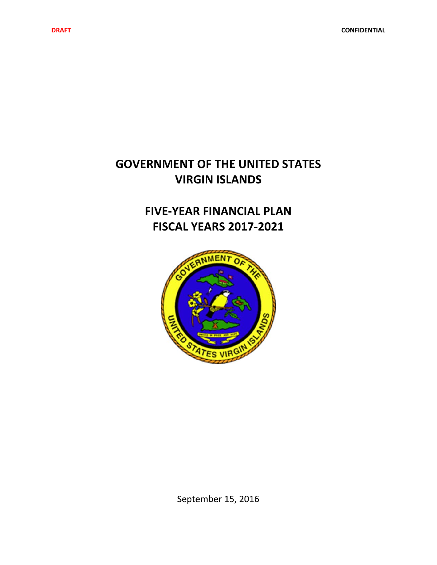# **GOVERNMENT OF THE UNITED STATES VIRGIN ISLANDS**

# **FIVE‐YEAR FINANCIAL PLAN FISCAL YEARS 2017‐2021**



September 15, 2016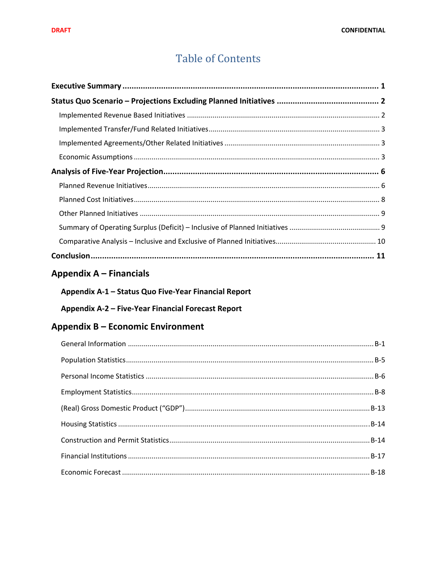# **Table of Contents**

# Appendix A - Financials

| Appendix A-1 - Status Quo Five-Year Financial Report |  |  |  |
|------------------------------------------------------|--|--|--|
|                                                      |  |  |  |

## Appendix A-2 - Five-Year Financial Forecast Report

## Appendix B - Economic Environment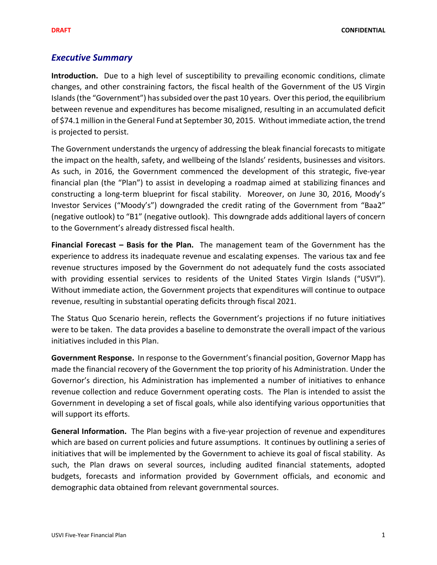## *Executive Summary*

**Introduction.** Due to a high level of susceptibility to prevailing economic conditions, climate changes, and other constraining factors, the fiscal health of the Government of the US Virgin Islands (the "Government") has subsided over the past 10 years. Over this period, the equilibrium between revenue and expenditures has become misaligned, resulting in an accumulated deficit of \$74.1 million in the General Fund at September 30, 2015. Without immediate action, the trend is projected to persist.

The Government understands the urgency of addressing the bleak financial forecasts to mitigate the impact on the health, safety, and wellbeing of the Islands' residents, businesses and visitors. As such, in 2016, the Government commenced the development of this strategic, five‐year financial plan (the "Plan") to assist in developing a roadmap aimed at stabilizing finances and constructing a long‐term blueprint for fiscal stability. Moreover, on June 30, 2016, Moody's Investor Services ("Moody's") downgraded the credit rating of the Government from "Baa2" (negative outlook) to "B1" (negative outlook). This downgrade adds additional layers of concern to the Government's already distressed fiscal health.

**Financial Forecast – Basis for the Plan.**  The management team of the Government has the experience to address its inadequate revenue and escalating expenses. The various tax and fee revenue structures imposed by the Government do not adequately fund the costs associated with providing essential services to residents of the United States Virgin Islands ("USVI"). Without immediate action, the Government projects that expenditures will continue to outpace revenue, resulting in substantial operating deficits through fiscal 2021.

The Status Quo Scenario herein, reflects the Government's projections if no future initiatives were to be taken. The data provides a baseline to demonstrate the overall impact of the various initiatives included in this Plan.

**Government Response.** In response to the Government's financial position, Governor Mapp has made the financial recovery of the Government the top priority of his Administration. Under the Governor's direction, his Administration has implemented a number of initiatives to enhance revenue collection and reduce Government operating costs. The Plan is intended to assist the Government in developing a set of fiscal goals, while also identifying various opportunities that will support its efforts.

**General Information.** The Plan begins with a five‐year projection of revenue and expenditures which are based on current policies and future assumptions. It continues by outlining a series of initiatives that will be implemented by the Government to achieve its goal of fiscal stability. As such, the Plan draws on several sources, including audited financial statements, adopted budgets, forecasts and information provided by Government officials, and economic and demographic data obtained from relevant governmental sources.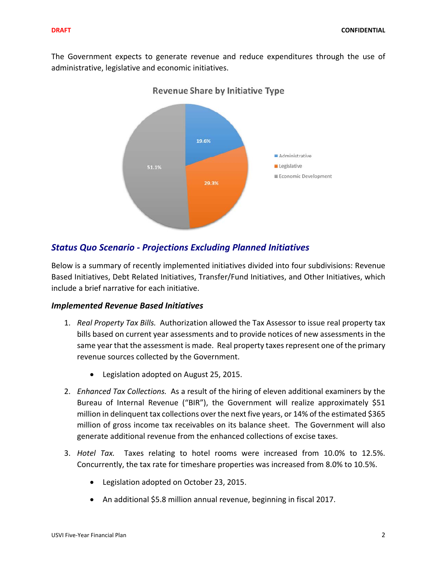The Government expects to generate revenue and reduce expenditures through the use of administrative, legislative and economic initiatives.



## **Revenue Share by Initiative Type**

## *Status Quo Scenario ‐ Projections Excluding Planned Initiatives*

Below is a summary of recently implemented initiatives divided into four subdivisions: Revenue Based Initiatives, Debt Related Initiatives, Transfer/Fund Initiatives, and Other Initiatives, which include a brief narrative for each initiative.

### *Implemented Revenue Based Initiatives*

- 1. *Real Property Tax Bills.* Authorization allowed the Tax Assessor to issue real property tax bills based on current year assessments and to provide notices of new assessments in the same year that the assessment is made. Real property taxes represent one of the primary revenue sources collected by the Government.
	- Legislation adopted on August 25, 2015.
- 2. *Enhanced Tax Collections.* As a result of the hiring of eleven additional examiners by the Bureau of Internal Revenue ("BIR"), the Government will realize approximately \$51 million in delinquent tax collections over the next five years, or 14% of the estimated \$365 million of gross income tax receivables on its balance sheet. The Government will also generate additional revenue from the enhanced collections of excise taxes.
- 3. *Hotel Tax.* Taxes relating to hotel rooms were increased from 10.0% to 12.5%. Concurrently, the tax rate for timeshare properties was increased from 8.0% to 10.5%.
	- Legislation adopted on October 23, 2015.
	- An additional \$5.8 million annual revenue, beginning in fiscal 2017.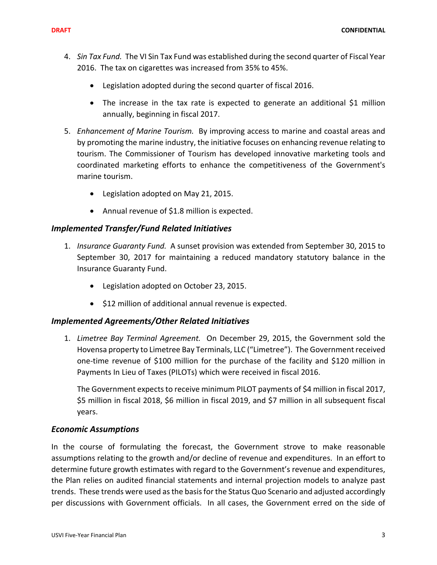- 4. *Sin Tax Fund.* The VI Sin Tax Fund was established during the second quarter of Fiscal Year 2016. The tax on cigarettes was increased from 35% to 45%.
	- Legislation adopted during the second quarter of fiscal 2016.
	- The increase in the tax rate is expected to generate an additional \$1 million annually, beginning in fiscal 2017.
- 5. *Enhancement of Marine Tourism.* By improving access to marine and coastal areas and by promoting the marine industry, the initiative focuses on enhancing revenue relating to tourism. The Commissioner of Tourism has developed innovative marketing tools and coordinated marketing efforts to enhance the competitiveness of the Government's marine tourism.
	- Legislation adopted on May 21, 2015.
	- Annual revenue of \$1.8 million is expected.

## *Implemented Transfer/Fund Related Initiatives*

- 1. *Insurance Guaranty Fund.* A sunset provision was extended from September 30, 2015 to September 30, 2017 for maintaining a reduced mandatory statutory balance in the Insurance Guaranty Fund.
	- Legislation adopted on October 23, 2015.
	- \$12 million of additional annual revenue is expected.

## *Implemented Agreements/Other Related Initiatives*

1. *Limetree Bay Terminal Agreement.* On December 29, 2015, the Government sold the Hovensa property to Limetree Bay Terminals, LLC ("Limetree"). The Government received one‐time revenue of \$100 million for the purchase of the facility and \$120 million in Payments In Lieu of Taxes (PILOTs) which were received in fiscal 2016.

The Government expects to receive minimum PILOT payments of \$4 million in fiscal 2017, \$5 million in fiscal 2018, \$6 million in fiscal 2019, and \$7 million in all subsequent fiscal years.

### *Economic Assumptions*

In the course of formulating the forecast, the Government strove to make reasonable assumptions relating to the growth and/or decline of revenue and expenditures. In an effort to determine future growth estimates with regard to the Government's revenue and expenditures, the Plan relies on audited financial statements and internal projection models to analyze past trends. These trends were used asthe basisfor the Status Quo Scenario and adjusted accordingly per discussions with Government officials. In all cases, the Government erred on the side of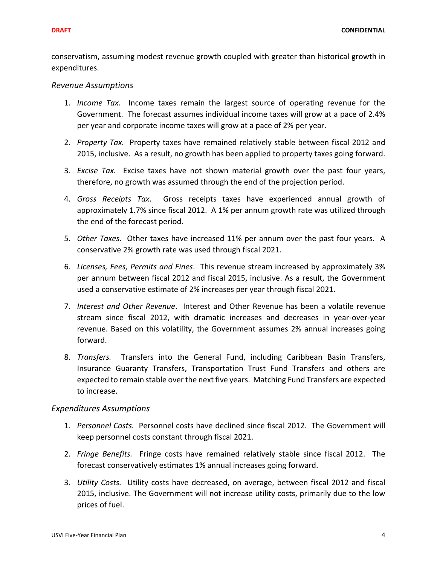conservatism, assuming modest revenue growth coupled with greater than historical growth in expenditures.

#### *Revenue Assumptions*

- 1. *Income Tax.* Income taxes remain the largest source of operating revenue for the Government. The forecast assumes individual income taxes will grow at a pace of 2.4% per year and corporate income taxes will grow at a pace of 2% per year.
- 2. *Property Tax.* Property taxes have remained relatively stable between fiscal 2012 and 2015, inclusive. As a result, no growth has been applied to property taxes going forward.
- 3. *Excise Tax.* Excise taxes have not shown material growth over the past four years, therefore, no growth was assumed through the end of the projection period.
- 4. *Gross Receipts Tax*. Gross receipts taxes have experienced annual growth of approximately 1.7% since fiscal 2012. A 1% per annum growth rate was utilized through the end of the forecast period.
- 5. *Other Taxes*. Other taxes have increased 11% per annum over the past four years. A conservative 2% growth rate was used through fiscal 2021.
- 6. *Licenses, Fees, Permits and Fines*. This revenue stream increased by approximately 3% per annum between fiscal 2012 and fiscal 2015, inclusive. As a result, the Government used a conservative estimate of 2% increases per year through fiscal 2021.
- 7. *Interest and Other Revenue*. Interest and Other Revenue has been a volatile revenue stream since fiscal 2012, with dramatic increases and decreases in year‐over‐year revenue. Based on this volatility, the Government assumes 2% annual increases going forward.
- 8. *Transfers.* Transfers into the General Fund, including Caribbean Basin Transfers, Insurance Guaranty Transfers, Transportation Trust Fund Transfers and others are expected to remain stable over the next five years. Matching Fund Transfers are expected to increase.

#### *Expenditures Assumptions*

- 1. *Personnel Costs.* Personnel costs have declined since fiscal 2012. The Government will keep personnel costs constant through fiscal 2021.
- 2. *Fringe Benefits.* Fringe costs have remained relatively stable since fiscal 2012. The forecast conservatively estimates 1% annual increases going forward.
- 3. *Utility Costs.* Utility costs have decreased, on average, between fiscal 2012 and fiscal 2015, inclusive. The Government will not increase utility costs, primarily due to the low prices of fuel.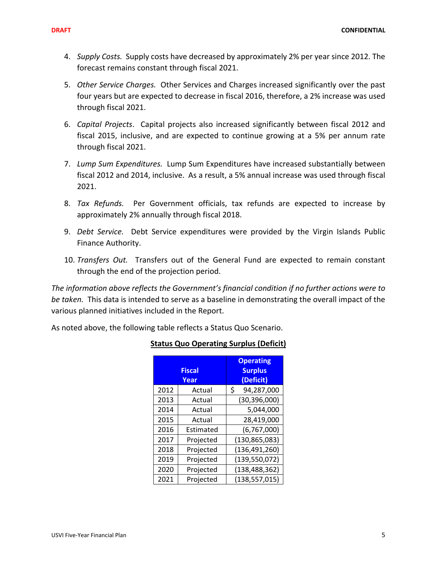- 4. *Supply Costs.* Supply costs have decreased by approximately 2% per year since 2012. The forecast remains constant through fiscal 2021.
- 5. *Other Service Charges.* Other Services and Charges increased significantly over the past four years but are expected to decrease in fiscal 2016, therefore, a 2% increase was used through fiscal 2021.
- 6. *Capital Projects*. Capital projects also increased significantly between fiscal 2012 and fiscal 2015, inclusive, and are expected to continue growing at a 5% per annum rate through fiscal 2021.
- 7. *Lump Sum Expenditures.* Lump Sum Expenditures have increased substantially between fiscal 2012 and 2014, inclusive. As a result, a 5% annual increase was used through fiscal 2021.
- 8. *Tax Refunds.* Per Government officials, tax refunds are expected to increase by approximately 2% annually through fiscal 2018.
- 9. *Debt Service.* Debt Service expenditures were provided by the Virgin Islands Public Finance Authority.
- 10. *Transfers Out.* Transfers out of the General Fund are expected to remain constant through the end of the projection period.

*The information above reflects the Government's financial condition if no further actions were to be taken.* This data is intended to serve as a baseline in demonstrating the overall impact of the various planned initiatives included in the Report.

As noted above, the following table reflects a Status Quo Scenario.

|      | <b>Fiscal</b><br>Year | <b>Operating</b><br><b>Surplus</b><br>(Deficit) |
|------|-----------------------|-------------------------------------------------|
| 2012 | Actual                | \$<br>94,287,000                                |
| 2013 | Actual                | (30, 396, 000)                                  |
| 2014 | Actual                | 5,044,000                                       |
| 2015 | Actual                | 28,419,000                                      |
| 2016 | <b>Fstimated</b>      | (6, 767, 000)                                   |
| 2017 | Projected             | (130, 865, 083)                                 |
| 2018 | Projected             | (136, 491, 260)                                 |
| 2019 | Projected             | (139, 550, 072)                                 |
| 2020 | Projected             | (138, 488, 362)                                 |
| 2021 | Projected             | (138, 557, 015)                                 |

### **Status Quo Operating Surplus (Deficit)**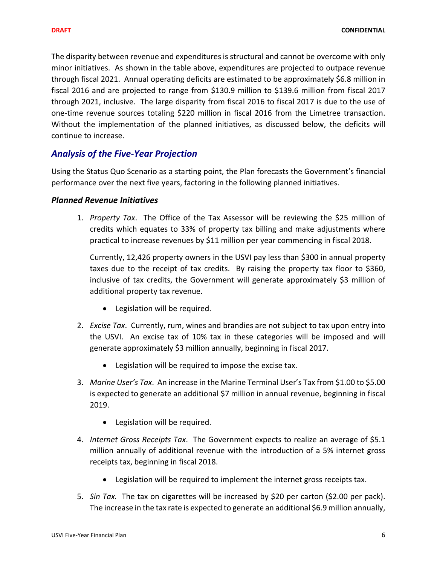The disparity between revenue and expenditures is structural and cannot be overcome with only minor initiatives. As shown in the table above, expenditures are projected to outpace revenue through fiscal 2021. Annual operating deficits are estimated to be approximately \$6.8 million in fiscal 2016 and are projected to range from \$130.9 million to \$139.6 million from fiscal 2017 through 2021, inclusive. The large disparity from fiscal 2016 to fiscal 2017 is due to the use of one‐time revenue sources totaling \$220 million in fiscal 2016 from the Limetree transaction. Without the implementation of the planned initiatives, as discussed below, the deficits will continue to increase.

## *Analysis of the Five‐Year Projection*

Using the Status Quo Scenario as a starting point, the Plan forecasts the Government's financial performance over the next five years, factoring in the following planned initiatives.

### *Planned Revenue Initiatives*

1. *Property Tax*. The Office of the Tax Assessor will be reviewing the \$25 million of credits which equates to 33% of property tax billing and make adjustments where practical to increase revenues by \$11 million per year commencing in fiscal 2018.

Currently, 12,426 property owners in the USVI pay less than \$300 in annual property taxes due to the receipt of tax credits. By raising the property tax floor to \$360, inclusive of tax credits, the Government will generate approximately \$3 million of additional property tax revenue.

- Legislation will be required.
- 2. *Excise Tax*. Currently, rum, wines and brandies are not subject to tax upon entry into the USVI. An excise tax of 10% tax in these categories will be imposed and will generate approximately \$3 million annually, beginning in fiscal 2017.
	- Legislation will be required to impose the excise tax.
- 3. *Marine User's Tax*. An increase in the Marine Terminal User's Tax from \$1.00 to \$5.00 is expected to generate an additional \$7 million in annual revenue, beginning in fiscal 2019.
	- Legislation will be required.
- 4. *Internet Gross Receipts Tax*. The Government expects to realize an average of \$5.1 million annually of additional revenue with the introduction of a 5% internet gross receipts tax, beginning in fiscal 2018.
	- Legislation will be required to implement the internet gross receipts tax.
- 5. *Sin Tax.* The tax on cigarettes will be increased by \$20 per carton (\$2.00 per pack). The increase in the tax rate is expected to generate an additional \$6.9 million annually,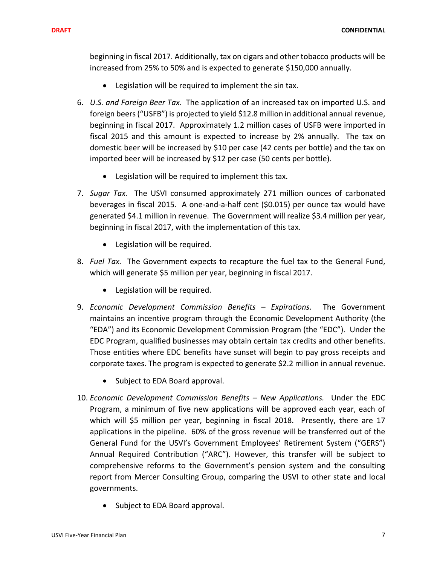**DRAFT CONFIDENTIAL**

beginning in fiscal 2017. Additionally, tax on cigars and other tobacco products will be increased from 25% to 50% and is expected to generate \$150,000 annually.

- Legislation will be required to implement the sin tax.
- 6. *U.S. and Foreign Beer Tax*. The application of an increased tax on imported U.S. and foreign beers("USFB") is projected to yield \$12.8 million in additional annual revenue, beginning in fiscal 2017. Approximately 1.2 million cases of USFB were imported in fiscal 2015 and this amount is expected to increase by 2% annually. The tax on domestic beer will be increased by \$10 per case (42 cents per bottle) and the tax on imported beer will be increased by \$12 per case (50 cents per bottle).
	- Legislation will be required to implement this tax.
- 7. *Sugar Tax.* The USVI consumed approximately 271 million ounces of carbonated beverages in fiscal 2015. A one‐and‐a‐half cent (\$0.015) per ounce tax would have generated \$4.1 million in revenue. The Government will realize \$3.4 million per year, beginning in fiscal 2017, with the implementation of this tax.
	- Legislation will be required.
- 8. *Fuel Tax.* The Government expects to recapture the fuel tax to the General Fund, which will generate \$5 million per year, beginning in fiscal 2017.
	- Legislation will be required.
- 9. *Economic Development Commission Benefits – Expirations.* The Government maintains an incentive program through the Economic Development Authority (the "EDA") and its Economic Development Commission Program (the "EDC"). Under the EDC Program, qualified businesses may obtain certain tax credits and other benefits. Those entities where EDC benefits have sunset will begin to pay gross receipts and corporate taxes. The program is expected to generate \$2.2 million in annual revenue.
	- Subject to EDA Board approval.
- 10. *Economic Development Commission Benefits – New Applications.* Under the EDC Program, a minimum of five new applications will be approved each year, each of which will \$5 million per year, beginning in fiscal 2018. Presently, there are 17 applications in the pipeline. 60% of the gross revenue will be transferred out of the General Fund for the USVI's Government Employees' Retirement System ("GERS") Annual Required Contribution ("ARC"). However, this transfer will be subject to comprehensive reforms to the Government's pension system and the consulting report from Mercer Consulting Group, comparing the USVI to other state and local governments.
	- Subject to EDA Board approval.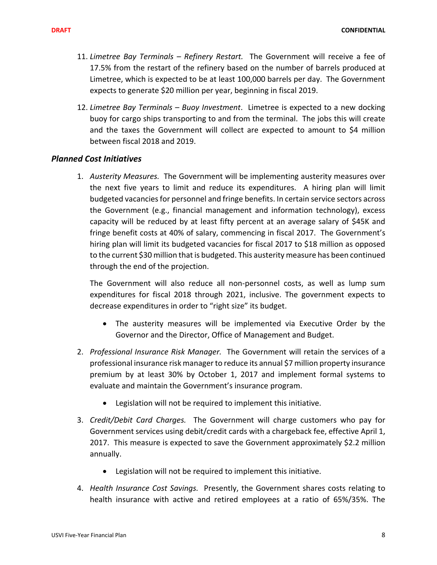- 11. *Limetree Bay Terminals – Refinery Restart.* The Government will receive a fee of 17.5% from the restart of the refinery based on the number of barrels produced at Limetree, which is expected to be at least 100,000 barrels per day. The Government expects to generate \$20 million per year, beginning in fiscal 2019.
- 12. *Limetree Bay Terminals – Buoy Investment*. Limetree is expected to a new docking buoy for cargo ships transporting to and from the terminal. The jobs this will create and the taxes the Government will collect are expected to amount to \$4 million between fiscal 2018 and 2019.

### *Planned Cost Initiatives*

1. *Austerity Measures.* The Government will be implementing austerity measures over the next five years to limit and reduce its expenditures. A hiring plan will limit budgeted vacanciesfor personnel and fringe benefits. In certain service sectors across the Government (e.g., financial management and information technology), excess capacity will be reduced by at least fifty percent at an average salary of \$45K and fringe benefit costs at 40% of salary, commencing in fiscal 2017. The Government's hiring plan will limit its budgeted vacancies for fiscal 2017 to \$18 million as opposed to the current \$30 million that is budgeted. This austerity measure has been continued through the end of the projection.

The Government will also reduce all non‐personnel costs, as well as lump sum expenditures for fiscal 2018 through 2021, inclusive. The government expects to decrease expenditures in order to "right size" its budget.

- The austerity measures will be implemented via Executive Order by the Governor and the Director, Office of Management and Budget.
- 2. *Professional Insurance Risk Manager.* The Government will retain the services of a professional insurance risk managerto reduce its annual \$7 million property insurance premium by at least 30% by October 1, 2017 and implement formal systems to evaluate and maintain the Government's insurance program.
	- Legislation will not be required to implement this initiative.
- 3. *Credit/Debit Card Charges.* The Government will charge customers who pay for Government services using debit/credit cards with a chargeback fee, effective April 1, 2017. This measure is expected to save the Government approximately \$2.2 million annually.
	- Legislation will not be required to implement this initiative.
- 4. *Health Insurance Cost Savings.* Presently, the Government shares costs relating to health insurance with active and retired employees at a ratio of 65%/35%. The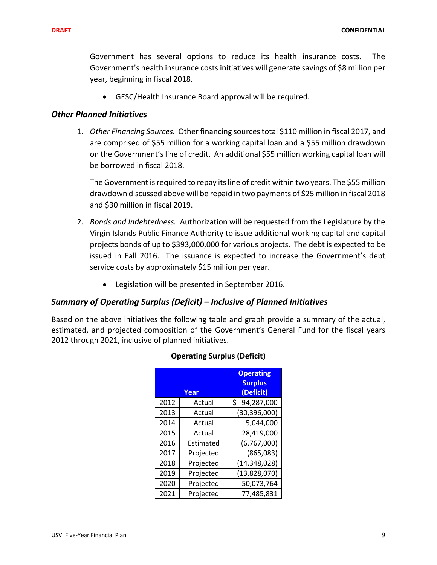Government has several options to reduce its health insurance costs. The Government's health insurance costs initiatives will generate savings of \$8 million per year, beginning in fiscal 2018.

GESC/Health Insurance Board approval will be required.

### *Other Planned Initiatives*

1. *Other Financing Sources.* Other financing sourcestotal \$110 million in fiscal 2017, and are comprised of \$55 million for a working capital loan and a \$55 million drawdown on the Government'sline of credit. An additional \$55 million working capital loan will be borrowed in fiscal 2018.

The Government isrequired to repay itsline of credit within two years. The \$55 million drawdown discussed above will be repaid in two payments of \$25 million in fiscal 2018 and \$30 million in fiscal 2019.

- 2. *Bonds and Indebtedness.* Authorization will be requested from the Legislature by the Virgin Islands Public Finance Authority to issue additional working capital and capital projects bonds of up to \$393,000,000 for various projects. The debt is expected to be issued in Fall 2016. The issuance is expected to increase the Government's debt service costs by approximately \$15 million per year.
	- Legislation will be presented in September 2016.

### *Summary of Operating Surplus (Deficit) – Inclusive of Planned Initiatives*

Based on the above initiatives the following table and graph provide a summary of the actual, estimated, and projected composition of the Government's General Fund for the fiscal years 2012 through 2021, inclusive of planned initiatives.

|      | Year             | <b>Operating</b><br><b>Surplus</b><br>(Deficit) |
|------|------------------|-------------------------------------------------|
| 2012 | Actual           | 94,287,000<br>\$                                |
| 2013 | Actual           | (30, 396, 000)                                  |
| 2014 | Actual           | 5,044,000                                       |
| 2015 | Actual           | 28,419,000                                      |
| 2016 | <b>Fstimated</b> | (6, 767, 000)                                   |
| 2017 | Projected        | (865,083)                                       |
| 2018 | Projected        | (14, 348, 028)                                  |
| 2019 | Projected        | (13,828,070)                                    |
| 2020 | Projected        | 50,073,764                                      |
| 2021 | Projected        | 77,485,831                                      |

### **Operating Surplus (Deficit)**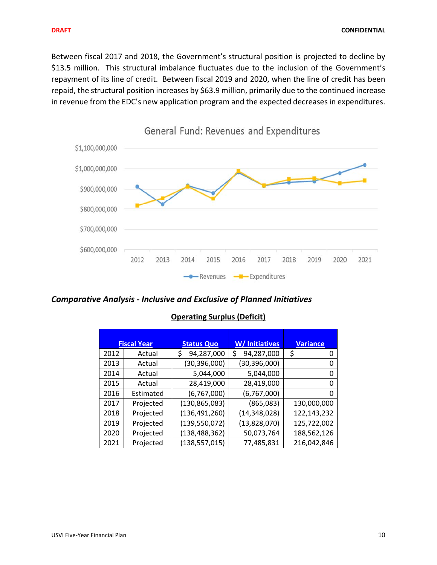Between fiscal 2017 and 2018, the Government's structural position is projected to decline by \$13.5 million. This structural imbalance fluctuates due to the inclusion of the Government's repayment of its line of credit. Between fiscal 2019 and 2020, when the line of credit has been repaid, the structural position increases by \$63.9 million, primarily due to the continued increase in revenue from the EDC's new application program and the expected decreases in expenditures.



*Comparative Analysis ‐ Inclusive and Exclusive of Planned Initiatives*

|      | <b>Fiscal Year</b> | <b>Status Quo</b> | W/ Initiatives   | <b>Variance</b> |
|------|--------------------|-------------------|------------------|-----------------|
| 2012 | Actual             | 94,287,000<br>\$  | 94,287,000<br>\$ | \$<br>0         |
| 2013 | Actual             | (30, 396, 000)    | (30, 396, 000)   | 0               |
| 2014 | Actual             | 5,044,000         | 5,044,000        | 0               |
| 2015 | Actual             | 28,419,000        | 28,419,000       | 0               |
| 2016 | Estimated          | (6,767,000)       | (6,767,000)      | 0               |
| 2017 | Projected          | (130, 865, 083)   | (865,083)        | 130,000,000     |
| 2018 | Projected          | (136, 491, 260)   | (14, 348, 028)   | 122,143,232     |
| 2019 | Projected          | (139, 550, 072)   | (13,828,070)     | 125,722,002     |
| 2020 | Projected          | (138, 488, 362)   | 50,073,764       | 188,562,126     |
| 2021 | Projected          | (138, 557, 015)   | 77,485,831       | 216,042,846     |

## **Operating Surplus (Deficit)**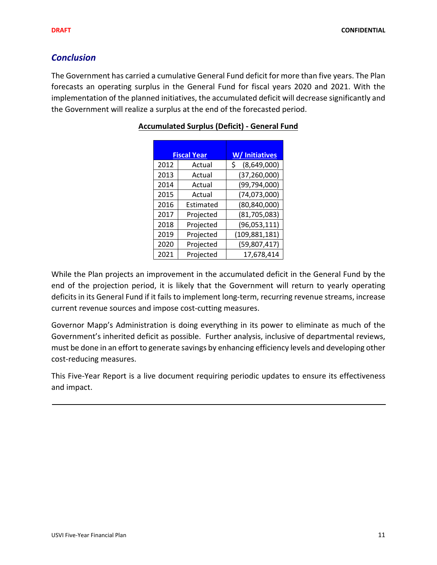## *Conclusion*

The Government has carried a cumulative General Fund deficit for more than five years. The Plan forecasts an operating surplus in the General Fund for fiscal years 2020 and 2021. With the implementation of the planned initiatives, the accumulated deficit will decrease significantly and the Government will realize a surplus at the end of the forecasted period.

|      | <b>Fiscal Year</b> | W/ Initiatives    |
|------|--------------------|-------------------|
| 2012 | Actual             | (8,649,000)<br>\$ |
| 2013 | Actual             | (37, 260, 000)    |
| 2014 | Actual             | (99, 794, 000)    |
| 2015 | Actual             | (74,073,000)      |
| 2016 | <b>Fstimated</b>   | (80, 840, 000)    |
| 2017 | Projected          | (81, 705, 083)    |
| 2018 | Projected          | (96,053,111)      |
| 2019 | Projected          | (109, 881, 181)   |
| 2020 | Projected          | (59,807,417)      |
| 2021 | Projected          | 17,678,414        |

## **Accumulated Surplus (Deficit) ‐ General Fund**

While the Plan projects an improvement in the accumulated deficit in the General Fund by the end of the projection period, it is likely that the Government will return to yearly operating deficits in its General Fund if it fails to implement long-term, recurring revenue streams, increase current revenue sources and impose cost‐cutting measures.

Governor Mapp's Administration is doing everything in its power to eliminate as much of the Government's inherited deficit as possible. Further analysis, inclusive of departmental reviews, must be done in an effort to generate savings by enhancing efficiency levels and developing other cost‐reducing measures.

This Five‐Year Report is a live document requiring periodic updates to ensure its effectiveness and impact.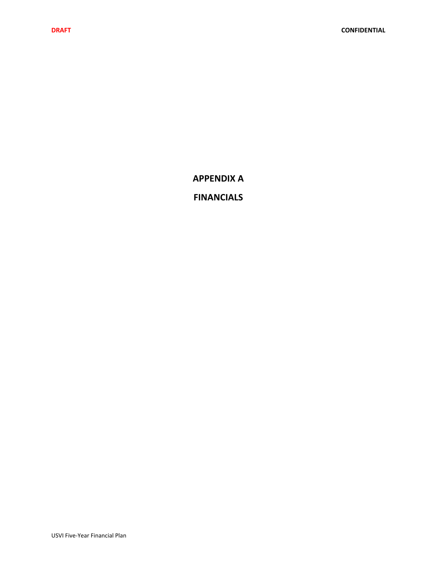**APPENDIX A**

## **FINANCIALS**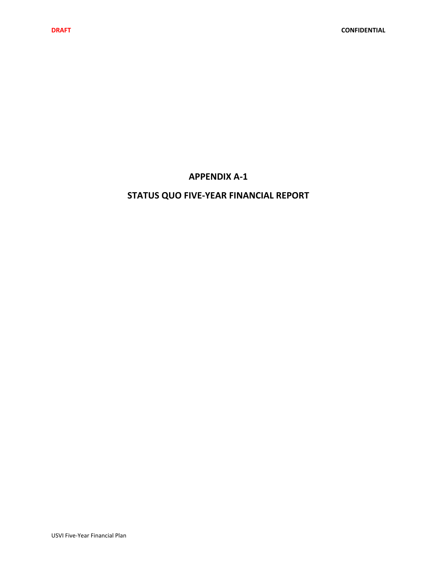## **APPENDIX A‐1**

## **STATUS QUO FIVE‐YEAR FINANCIAL REPORT**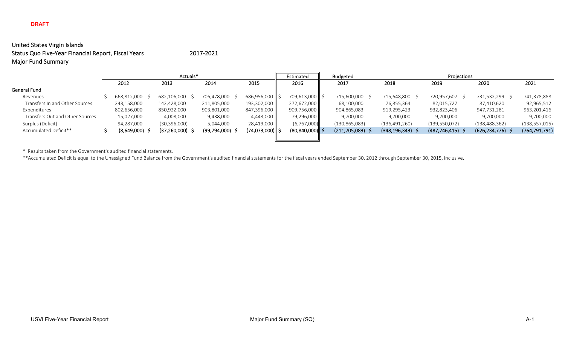## United States Virgin Islands Status Quo Five-Year Financial Report, Fiscal Years 2017-2021 Major Fund Summary

|                                 |             | Actuals*       |                   |              | Estimated           |  | Projections        |                  |                 |                 |                 |
|---------------------------------|-------------|----------------|-------------------|--------------|---------------------|--|--------------------|------------------|-----------------|-----------------|-----------------|
|                                 | 2012        | 2013           | 2014              | 2015         | 2016                |  | 2017               | 2018             | 2019            | 2020            | 2021            |
| General Fund                    |             |                |                   |              |                     |  |                    |                  |                 |                 |                 |
| Revenues                        | 668,812,000 | 682,106,000    | 706,478,000       | 686,956,000  | 709,613,000         |  | 715,600,000<br>- 5 | 715,648,800 \$   | 720,957,607     | 731,532,299 \$  | 741,378,888     |
| Transfers In and Other Sources  | 243,158,000 | 142,428,000    | 211,805,000       | 193,302,000  | 272,672,000         |  | 68,100,000         | 76,855,364       | 82,015,727      | 87,410,620      | 92,965,512      |
| Expenditures                    | 802,656,000 | 850,922,000    | 903,801,000       | 847,396,000  | 909,756,000         |  | 904,865,083        | 919,295,423      | 932,823,406     | 947,731,281     | 963,201,416     |
| Transfers Out and Other Sources | 15,027,000  | 4,008,000      | 9,438,000         | 4,443,000    | 79,296,000          |  | 9,700,000          | 9,700,000        | 9,700,000       | 9,700,000       | 9,700,000       |
| Surplus (Deficit)               | 94,287,000  | (30, 396, 000) | 5,044,000         | 28,419,000   | (6,767,000)         |  | (130, 865, 083)    | (136, 491, 260)  | (139, 550, 072) | (138, 488, 362) | (138, 557, 015) |
| Accumulated Deficit**           | (8,649,000) | (37,260,000)   | $(99,794,000)$ \$ | (74,073,000) | $(80, 840, 000)$ \$ |  | $(211,705,083)$ \$ | (348,196,343) \$ | (487, 746, 415) | (626, 234, 776) | (764, 791, 791) |
|                                 |             |                |                   |              |                     |  |                    |                  |                 |                 |                 |

\* Results taken from the Government's audited financial statements.

\*\*Accumulated Deficit is equal to the Unassigned Fund Balance from the Government's audited financial statements for the fiscal years ended September 30, 2012 through September 30, 2015, inclusive.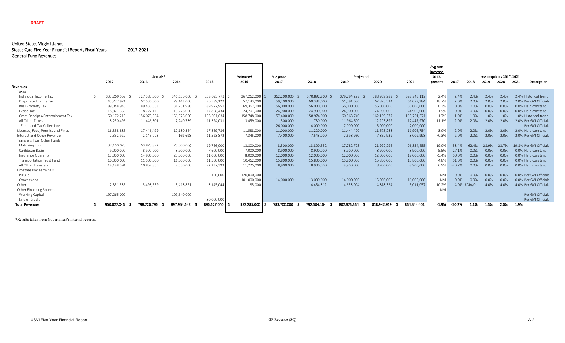#### United States Virgin Islands Status Quo Five-Year Financial Report, Fiscal Years 2017-2021 General Fund Revenues

|                                   |                                                                                                                                                                                                                                                                                                                                                                                                                                                                                                                                                                                                                                                                    |             |             |             |             |                 |             |             |             |             |                   | Avg Ann   |          |              |                              |       |      |                         |
|-----------------------------------|--------------------------------------------------------------------------------------------------------------------------------------------------------------------------------------------------------------------------------------------------------------------------------------------------------------------------------------------------------------------------------------------------------------------------------------------------------------------------------------------------------------------------------------------------------------------------------------------------------------------------------------------------------------------|-------------|-------------|-------------|-------------|-----------------|-------------|-------------|-------------|-------------|-------------------|-----------|----------|--------------|------------------------------|-------|------|-------------------------|
|                                   | Actuals*<br>2014<br>2012<br>2013<br>333,269,552<br>327,383,000<br>346,656,000<br>45,777,921<br>62,530,000<br>79,143,000<br>89,048,945<br>89,436,633<br>31,251,980<br>18,871,359<br>18,727,115<br>19,228,000<br>150,172,215<br>156,075,954<br>156,076,000<br>8,250,496<br>11,446,301<br>7,240,739<br>16,338,885<br>17,180,364<br>17.446.499<br>2,145,078<br>169,698<br>2,332,922<br>37,160,023<br>63,873,822<br>75,000,000<br>8,900,000<br>9,000,000<br>8,900,000<br>13,000,000<br>14,900,000<br>25,000,000<br>10,000,000<br>11,500,000<br>11,500,000<br>18,188,391<br>10,857,855<br>7,550,000<br>2,351,335<br>3,498,539<br>3,418,861<br>197,065,000<br>109,640,000 |             |             |             | Estimated   | <b>Budgeted</b> |             | Projected   |             |             | Increase<br>2012- |           |          |              | <b>Assumptions 2017-2021</b> |       |      |                         |
|                                   |                                                                                                                                                                                                                                                                                                                                                                                                                                                                                                                                                                                                                                                                    |             |             |             | 2015        | 2016            | 2017        | 2018        | 2019        | 2020        | 2021              | present   | 2017     | 2018         | 2019                         | 2020  | 2021 | Description             |
| Revenues                          |                                                                                                                                                                                                                                                                                                                                                                                                                                                                                                                                                                                                                                                                    |             |             |             |             |                 |             |             |             |             |                   |           |          |              |                              |       |      |                         |
| Taxes                             |                                                                                                                                                                                                                                                                                                                                                                                                                                                                                                                                                                                                                                                                    |             |             |             |             |                 |             |             |             |             |                   |           |          |              |                              |       |      |                         |
| Individual Income Tax             |                                                                                                                                                                                                                                                                                                                                                                                                                                                                                                                                                                                                                                                                    |             |             |             | 358,093,773 | 367,262,000     | 362,200,000 | 370,892,800 | 379,794,227 | 388,909,289 | 398,243,112       | 2.4%      | 2.4%     | 2.4%         | 2.4%                         | 2.4%  |      | 2.4% Historical trend   |
| Corporate Income Tax              |                                                                                                                                                                                                                                                                                                                                                                                                                                                                                                                                                                                                                                                                    |             |             |             | 76,589,122  | 57,143,000      | 59,200,000  | 60,384,000  | 61,591,680  | 62,823,514  | 64,079,984        | 18.7%     | 2.0%     | 2.0%         | 2.0%                         | 2.0%  |      | 2.0% Per GVI Officials  |
| Real Property Tax                 |                                                                                                                                                                                                                                                                                                                                                                                                                                                                                                                                                                                                                                                                    |             |             |             | 89,927,951  | 69,367,000      | 56,000,000  | 56,000,000  | 56,000,000  | 56,000,000  | 56,000,000        | 0.3%      | 0.0%     | 0.0%         | 0.0%                         | 0.0%  |      | 0.0% Held constant      |
| <b>Excise Tax</b>                 |                                                                                                                                                                                                                                                                                                                                                                                                                                                                                                                                                                                                                                                                    |             |             |             | 17,808,434  | 24,701,000      | 24,900,000  | 24,900,000  | 24,900,000  | 24,900,000  | 24,900,000        | $-1.9%$   | 0.0%     | 0.0%         | 0.0%                         | 0.0%  |      | 0.0% Held constant      |
| Gross Receipts/Entertainment Tax  |                                                                                                                                                                                                                                                                                                                                                                                                                                                                                                                                                                                                                                                                    |             |             |             | 158,091,634 | 158,748,000     | 157,400,000 | 158,974,000 | 160,563,740 | 162,169,377 | 163,791,071       | 1.7%      | 1.0%     | 1.0%         | 1.0%                         | 1.0%  |      | 1.0% Historical trend   |
| All Other Taxes                   |                                                                                                                                                                                                                                                                                                                                                                                                                                                                                                                                                                                                                                                                    |             |             |             | 11,324,031  | 13,459,000      | 11,500,000  | 11,730,000  | 11,964,600  | 12,203,892  | 12,447,970        | 11.1%     | 2.0%     | 2.0%         | 2.0%                         | 2.0%  |      | 2.0% Per GVI Officials  |
| <b>Enhanced Tax Collections</b>   |                                                                                                                                                                                                                                                                                                                                                                                                                                                                                                                                                                                                                                                                    |             |             |             |             |                 | 26,000,000  | 14,000,000  | 7,000,000   | 5,000,000   | 2,000,000         |           |          |              |                              |       |      | Per GVI Officials       |
| Licenses, Fees, Permits and Fines |                                                                                                                                                                                                                                                                                                                                                                                                                                                                                                                                                                                                                                                                    |             |             |             | 17,869,786  | 11,588,000      | 11.000.000  | 11,220,000  | 11,444,400  | 11,673,288  | 11,906,754        | 3.0%      | 2.0%     | 2.0%         | 2.0%                         | 2.0%  |      | 2.0% Held constant      |
| Interest and Other Revenue        |                                                                                                                                                                                                                                                                                                                                                                                                                                                                                                                                                                                                                                                                    |             |             |             | 11,523,872  | 7,345,000       | 7,400,000   | 7,548,000   | 7,698,960   | 7,852,939   | 8,009,998         | 70.3%     | 2.0%     | 2.0%         | 2.0%                         | 2.0%  |      | 2.0% Per GVI Officials  |
| Transfers from Other Funds        |                                                                                                                                                                                                                                                                                                                                                                                                                                                                                                                                                                                                                                                                    |             |             |             |             |                 |             |             |             |             |                   |           |          |              |                              |       |      |                         |
| Matching Fund                     |                                                                                                                                                                                                                                                                                                                                                                                                                                                                                                                                                                                                                                                                    |             |             |             | 19,766,000  | 13,800,000      | 8,500,000   | 13,800,552  | 17,782,723  | 21,992,296  | 26,354,455        | $-19.0%$  | $-38.4%$ | 62.4%        | 28.9%                        | 23.7% |      | 19.8% Per GVI Officials |
| Caribbean Basin                   |                                                                                                                                                                                                                                                                                                                                                                                                                                                                                                                                                                                                                                                                    |             |             |             | 7,600,000   | 7,000,000       | 8,900,000   | 8,900,000   | 8,900,000   | 8,900,000   | 8,900,000         | $-5.5%$   | 27.1%    | 0.0%         | 0.0%                         | 0.0%  |      | 0.0% Held constant      |
| Insurance Guaranty                |                                                                                                                                                                                                                                                                                                                                                                                                                                                                                                                                                                                                                                                                    |             |             |             | 11,000,000  | 8,000,000       | 12,000,000  | 12,000,000  | 12,000,000  | 12,000,000  | 12,000,000        | $-5.4%$   | 50.0%    | 0.0%         | 0.0%                         | 0.0%  |      | 0.0% Held constant      |
| <b>Transportation Trust Fund</b>  |                                                                                                                                                                                                                                                                                                                                                                                                                                                                                                                                                                                                                                                                    |             |             |             | 11,500,000  | 10,462,000      | 15,800,000  | 15,800,000  | 15,800,000  | 15,800,000  | 15,800,000        | 4.8%      | 51.0%    | 0.0%         | 0.0%                         | 0.0%  |      | 0.0% Held constant      |
| All Other Transfers               |                                                                                                                                                                                                                                                                                                                                                                                                                                                                                                                                                                                                                                                                    |             |             |             | 22,237,393  | 11,225,000      | 8,900,000   | 8,900,000   | 8,900,000   | 8,900,000   | 8,900,000         | 6.9%      | $-20.7%$ | 0.0%         | 0.0%                         | 0.0%  |      | 0.0% Held constant      |
| Limetree Bay Terminals            |                                                                                                                                                                                                                                                                                                                                                                                                                                                                                                                                                                                                                                                                    |             |             |             |             |                 |             |             |             |             |                   |           |          |              |                              |       |      |                         |
| PILOTS                            |                                                                                                                                                                                                                                                                                                                                                                                                                                                                                                                                                                                                                                                                    |             |             |             | 150,000     | 120,000,000     |             |             |             |             |                   | <b>NM</b> | 0.0%     | 0.0%         | 0.0%                         | 0.0%  |      | 0.0% Per GVI Officials  |
| Concessions                       |                                                                                                                                                                                                                                                                                                                                                                                                                                                                                                                                                                                                                                                                    |             |             |             |             | 101,000,000     | 14,000,000  | 13,000,000  | 14,000,000  | 15,000,000  | 16,000,000        | <b>NM</b> | 0.0%     | 0.0%         | 0.0%                         | 0.0%  |      | 0.0% Per GVI Officials  |
| Other                             |                                                                                                                                                                                                                                                                                                                                                                                                                                                                                                                                                                                                                                                                    |             |             |             | 3,145,044   | 1,185,000       |             | 4,454,812   | 4,633,004   | 4,818,324   | 5,011,057         | 10.2%     |          | 4.0% #DIV/0! | 4.0%                         | 4.0%  |      | 4.0% Per GVI Officials  |
| Other Financing Sources           |                                                                                                                                                                                                                                                                                                                                                                                                                                                                                                                                                                                                                                                                    |             |             |             |             |                 |             |             |             |             |                   | <b>NM</b> |          |              |                              |       |      |                         |
| <b>Working Capital</b>            |                                                                                                                                                                                                                                                                                                                                                                                                                                                                                                                                                                                                                                                                    |             |             |             |             |                 |             |             |             |             |                   |           |          |              |                              |       |      | Per GVI Officials       |
| Line of Credit                    |                                                                                                                                                                                                                                                                                                                                                                                                                                                                                                                                                                                                                                                                    |             |             |             | 80,000,000  |                 |             |             |             |             |                   |           |          |              |                              |       |      | Per GVI Officials       |
| <b>Total Revenues</b>             |                                                                                                                                                                                                                                                                                                                                                                                                                                                                                                                                                                                                                                                                    | 950.827.043 | 798.720.796 | 897.954.642 | 896.627.040 | 982,285,000     | 783,700,000 | 792.504.164 | 802,973,334 | 818,942,919 | 834.344.401       | $-1.9%$   | $-20.2%$ | 1.1%         | 1.3%                         | 2.0%  | 1.9% |                         |
|                                   |                                                                                                                                                                                                                                                                                                                                                                                                                                                                                                                                                                                                                                                                    |             |             |             |             |                 |             |             |             |             |                   |           |          |              |                              |       |      |                         |

\*Results taken from Government's internal records.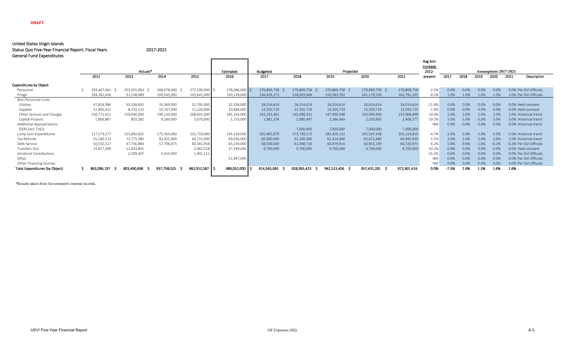#### United States Virgin Islands

Status Quo Five-Year Financial Report, Fiscal Years 2017-2021

| <b>General Fund Expenditures</b>      |      |             |             |             |                |             |                 |             |                |                |             |           |                              |         |         |         |                         |  |  |  |
|---------------------------------------|------|-------------|-------------|-------------|----------------|-------------|-----------------|-------------|----------------|----------------|-------------|-----------|------------------------------|---------|---------|---------|-------------------------|--|--|--|
|                                       |      |             |             |             |                |             |                 |             |                |                |             | Avg Ann   |                              |         |         |         |                         |  |  |  |
|                                       |      |             |             |             |                |             |                 |             |                |                |             | Increase  |                              |         |         |         |                         |  |  |  |
|                                       |      |             | Actuals*    |             |                | Estimated   | <b>Budgeted</b> |             | Projected      |                |             | 2012      | <b>Assumptions 2017-2021</b> |         |         |         |                         |  |  |  |
|                                       | 2012 |             | 2013        | 2014        | 2015           | 2016        | 2017            | 2018        | 2019           | 2020           | 2021        | presen    | 2017                         | 2018    | 2019    | 2020    | 2021<br>Description     |  |  |  |
| <b>Expenditures by Object</b>         |      |             |             |             |                |             |                 |             |                |                |             |           |                              |         |         |         |                         |  |  |  |
| Personnel                             |      | 293,447,461 | 253,055,083 | 268,978,000 | 272,190,000 \$ | 278,096,000 | 270,869,758     | 270,869,758 | 270,869,758 \$ | 270,869,758 \$ | 270,869,758 | $-2.5%$   | 0.0%                         | 0.0%    | 0.0%    | 0.0%    | 0.0% Per GVI Officials  |  |  |  |
| Fringe                                |      | 104,261,026 | 91,538,089  | 100,545,000 | 103,641,000    | 120,128,000 | 156,439,273     | 158,003,666 | 159,583,702    | 161,179,539    | 162,791,335 | $-0.2%$   | 1.0%                         | 1.0%    | 1.0%    | 1.0%    | 1.0% Per GVI Officials  |  |  |  |
| Non-Personnel Costs                   |      |             |             |             |                |             |                 |             |                |                |             |           |                              |         |         |         |                         |  |  |  |
| <b>Utilities</b>                      |      | 47,824,984  | 30,358,835  | 35,369,000  | 32,795,000     | 32,358,000  | 26,014,614      | 26,014,614  | 26,014,614     | 26,014,614     | 26,014,614  | $-11.8%$  | 0.0%                         | 0.0%    | 0.0%    | 0.0%    | 0.0% Held constant      |  |  |  |
| Supplies                              |      | 11,900,412  | 8,233,122   | 10,747,000  | 11,229,000     | 10,684,000  | 13,350,719      | 13,350,719  | 13,350,719     | 13,350,719     | 13,350,719  | $-1.9%$   | 0.0%                         | 0.0%    | 0.0%    | 0.0%    | 0.0% Held constant      |  |  |  |
| Other Services and Charges            |      | 156,771,611 | 159,956,950 | 199,220,000 | 208,601,000    | 185,324,000 | 142,243,462     | 145,088,331 | 147,990,098    | 150,949,900    | 153,968,898 | 10.0%     | 2.0%                         | 2.0%    | 2.0%    | 2.0%    | 2.0% Historical trend   |  |  |  |
| Capital Projects                      |      | 1,806,887   | 803,282     | 4,184,000   | 3,070,000      | 3,733,000   | 1,981,378       | 2,080,447   | 2,184,469      | 2,293,693      | 2,408,377   | 19.3%     | 5.0%                         | 5.0%    | 5.0%    | 5.0%    | 5.0% Historical trend   |  |  |  |
| <b>Additional Appropriations</b>      |      |             |             |             |                |             |                 |             |                |                |             | <b>NM</b> | 0.0%                         | 0.0%    | 0.0%    | 0.0%    | 0.0% Historical trend   |  |  |  |
| GERS (Act 7262)                       |      |             |             |             |                |             |                 | 7,000,000   | 7,000,000      | 7,000,000      | 7,000,000   |           |                              |         |         |         |                         |  |  |  |
| Lump Sum Expenditures                 |      | 117,573,277 | 123,682,825 | 175,569,000 | 101,719,000    | 145,158,000 | 165,465,879     | 173,739,173 | 182,426,132    | 191,547,438    | 201,124,810 | $-4.7%$   | 5.0%                         | 5.0%    | 5.0%    | 5.0%    | 5.0% Historical trend   |  |  |  |
| Tax Refunds                           |      | 55,160,713  | 72,771,380  | 82,025,000  | 64,721,000     | 69,036,000  | 60,000,000      | 61,200,000  | 62,424,000     | 63,672,480     | 64,945,930  | 5.5%      | 2.0%                         | 2.0%    | 2.0%    | 2.0%    | 2.0% Historical trend   |  |  |  |
| Debt Service                          |      | 50,532,517  | 47,756,884  | 57,706,075  | 60,581,958     | 65,239,000  | 68,500,000      | 61,948,716  | 60,979,914     | 60,853,139     | 60,726,975  | 6.2%      | 5.0%                         | $-9.6%$ | $-1.6%$ | $-0.2%$ | -0.2% Per GVI Officials |  |  |  |
| Transfers Out                         |      | 23,817,309  | 12,824,841  |             | 2,962,518      | 27,349,000  | 9,700,000       | 9,700,000   | 9,700,000      | 9,700,000      | 9,700,000   | $-50.1%$  | 0.0%                         | 0.0%    | 0.0%    | 0.0%    | 0.0% Held constant      |  |  |  |
| Intrafund Contributions               |      |             | 2,509,407   | 3,414,950   | 1,402,111      |             |                 |             |                |                |             | $-25.3%$  | 0.0%                         | 0.0%    | 0.0%    | 0.0%    | 0.0% Per GVI Officials  |  |  |  |
| Other                                 |      |             |             |             |                | 51,947,000  |                 |             |                |                |             | <b>NM</b> | 0.0%                         | 0.0%    | 0.0%    | 0.0%    | 0.0% Per GVI Officials  |  |  |  |
| Other Financing Sources               |      |             |             |             |                |             |                 |             |                |                |             | <b>NM</b> | 0.0%                         | 0.0%    | 0.0%    | 0.0%    | 0.0% Per GVI Officials  |  |  |  |
| <b>Total Expenditures (by Object)</b> |      | 863,096,197 | 803,490,698 | 937,758,025 | 862,912,587 \$ | 989,052,000 | 914,565,083     | 928,995,423 | 942,523,406 \$ | 957,431,281 \$ | 972,901,416 | 0.0%      | $-7.5%$                      | 1.6%    | 1.5%    | 1.6%    | 1.6%                    |  |  |  |
|                                       |      |             |             |             |                |             |                 |             |                |                |             |           |                              |         |         |         |                         |  |  |  |

\*Results taken from Government's internal records.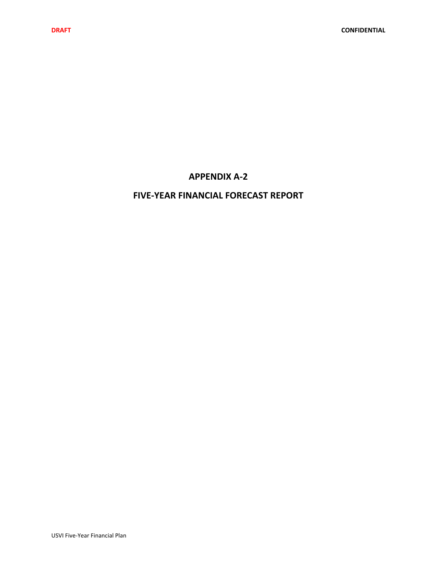## **APPENDIX A‐2**

## **FIVE‐YEAR FINANCIAL FORECAST REPORT**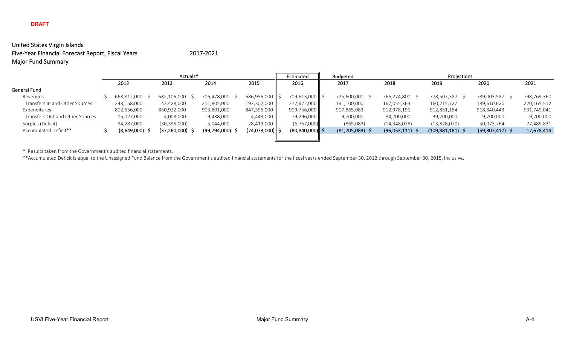## United States Virgin Islands Five-Year Financial Forecast Report, Fiscal Years 2017-2021 Major Fund Summary

|                                 |             | Actuals*       |                |                 | Estimated           | <b>Budgeted</b>   | Projections  |                    |                   |             |  |  |  |  |
|---------------------------------|-------------|----------------|----------------|-----------------|---------------------|-------------------|--------------|--------------------|-------------------|-------------|--|--|--|--|
|                                 | 2012        | 2013           | 2014           | 2015            | 2016                | 2017              | 2018         | 2019               | 2020              | 2021        |  |  |  |  |
| General Fund                    |             |                |                |                 |                     |                   |              |                    |                   |             |  |  |  |  |
| Revenues                        | 668,812,000 | 682,106,000    | 706,478,000    | 686,956,000     | 709,613,000         | 725,600,000 \$    | 766,274,800  | 778,507,387        | 789,003,587       | 798,769,360 |  |  |  |  |
| Transfers In and Other Sources  | 243,158,000 | 142,428,000    | 211,805,000    | 193,302,000     | 272,672,000         | 191,100,000       | 167,055,364  | 160,215,727        | 189,610,620       | 220,165,512 |  |  |  |  |
| Expenditures                    | 802,656,000 | 850,922,000    | 903,801,000    | 847,396,000     | 909,756,000         | 907,865,083       | 912,978,191  | 912,851,184        | 918,840,443       | 931,749,041 |  |  |  |  |
| Transfers Out and Other Sources | 15,027,000  | 4,008,000      | 9,438,000      | 4,443,000       | 79,296,000          | 9,700,000         | 34,700,000   | 39,700,000         | 9,700,000         | 9,700,000   |  |  |  |  |
| Surplus (Deficit)               | 94,287,000  | (30, 396, 000) | 5,044,000      | 28,419,000      | (6,767,000)         | (865,083)         | (14,348,028) | (13,828,070)       | 50,073,764        | 77,485,831  |  |  |  |  |
| Accumulated Deficit**           | (8,649,000) | (37, 260, 000) | (99, 794, 000) | (74,073,000) \$ | $(80, 840, 000)$ \$ | $(81,705,083)$ \$ | (96,053,111) | $(109,881,181)$ \$ | $(59,807,417)$ \$ | 17,678,414  |  |  |  |  |
|                                 |             |                |                |                 |                     |                   |              |                    |                   |             |  |  |  |  |

\* Results taken from the Government's audited financial statements.

\*\*Accumulated Deficit is equal to the Unassigned Fund Balance from the Government's audited financial statements for the fiscal years ended September 30, 2012 through September 30, 2015, inclusive.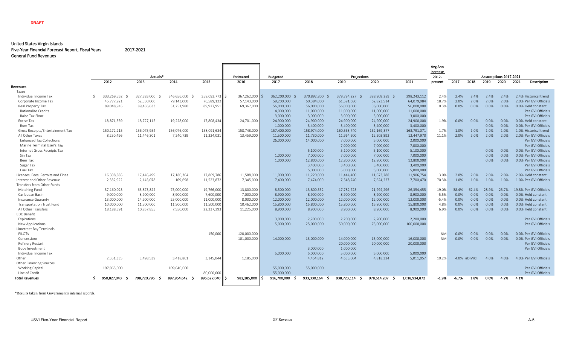#### United States Virgin Islands Five‐Year Financial Forecast Report, Fiscal Years 2017‐2021 General Fund Revenues

|                                   |             |             |             |                |                             |                         |                   |                     |                   |               | Avg Ann          |          |              |         |                               |      |                         |
|-----------------------------------|-------------|-------------|-------------|----------------|-----------------------------|-------------------------|-------------------|---------------------|-------------------|---------------|------------------|----------|--------------|---------|-------------------------------|------|-------------------------|
|                                   |             | Actuals*    |             |                |                             |                         |                   |                     | Increase          |               |                  |          |              |         |                               |      |                         |
|                                   | 2012        | 2013        | 2014        | 2015           | Estimated<br>2016           | <b>Budgeted</b><br>2017 | 2018              | Projections<br>2019 | 2020              | 2021          | 2012-<br>present | 2017     | 2018         | 2019    | Assumptions 2017-2021<br>2020 | 2021 | Description             |
| Revenues                          |             |             |             |                |                             |                         |                   |                     |                   |               |                  |          |              |         |                               |      |                         |
| Taxes                             |             |             |             |                |                             |                         |                   |                     |                   |               |                  |          |              |         |                               |      |                         |
| Individual Income Tax             | 333.269.552 | 327,383,000 | 346,656,000 | 358.093.773 \$ | $367,262,000$ $\frac{1}{5}$ | 362,200,000             | 370.892.800<br>S. | 379,794,227         | 388,909,289 \$    | 398,243,112   | 2.4%             | 2.4%     | 2.4%         | 2.4%    | 2.4%                          |      | 2.4% Historical trend   |
| Corporate Income Tax              | 45,777,921  | 62,530,000  | 79,143,000  | 76,589,122     | 57,143,000                  | 59,200,000              | 60,384,000        | 61,591,680          | 62,823,514        | 64,079,984    | 18.7%            | 2.0%     | 2.0%         | 2.0%    | 2.0%                          |      | 2.0% Per GVI Officials  |
| Real Property Tax                 | 89,048,945  | 89,436,633  | 31,251,980  | 89,927,951     | 69,367,000                  | 56,000,000              | 56,000,000        | 56,000,000          | 56,000,000        | 56,000,000    | 0.3%             | 0.0%     | 0.0%         | 0.0%    | 0.0%                          |      | 0.0% Held constant      |
| <b>Rationalize Credits</b>        |             |             |             |                |                             | 4,000,000               | 11,000,000        | 11,000,000          | 11,000,000        | 11,000,000    |                  |          |              |         |                               |      | Per GVI Officials       |
| Raise Tax Floor                   |             |             |             |                |                             | 3,000,000               | 3,000,000         | 3,000,000           | 3,000,000         | 3,000,000     |                  |          |              |         |                               |      | Per GVI Officials       |
| Excise Tax                        | 18,871,359  | 18,727,115  | 19,228,000  | 17,808,434     | 24,701,000                  | 24,900,000              | 24.900.000        | 24,900,000          | 24.900.000        | 24,900,000    | $-1.9%$          | 0.0%     | 0.0%         | 0.0%    | 0.0%                          |      | 0.0% Held constant      |
| Rum Tax                           |             |             |             |                |                             | 1,000,000               | 3,400,000         | 3,400,000           | 3.400.000         | 3,400,000     |                  |          |              | 0.0%    | 0.0%                          |      | 0.0% Per GVI Officials  |
| Gross Receipts/Entertainment Tax  | 150,172,215 | 156,075,954 | 156,076,000 | 158,091,634    | 158,748,000                 | 157,400,000             | 158,974,000       | 160,563,740         | 162,169,377       | 163,791,071   | 1.7%             | 1.0%     | 1.0%         | 1.0%    | 1.0%                          |      | 1.0% Historical trend   |
| All Other Taxes                   | 8,250,496   | 11,446,301  | 7,240,739   | 11,324,031     | 13,459,000                  | 11,500,000              | 11,730,000        | 11,964,600          | 12,203,892        | 12,447,970    | 11.1%            | 2.0%     | 2.0%         | 2.0%    | 2.0%                          |      | 2.0% Per GVI Officials  |
| <b>Enhanced Tax Collections</b>   |             |             |             |                |                             | 26,000,000              | 14,000,000        | 7,000,000           | 5,000,000         | 2,000,000     |                  |          |              |         |                               |      | Per GVI Officials       |
| Marine Terminal User's Tax        |             |             |             |                |                             |                         |                   | 7,000,000           | 7,000,000         | 7,000,000     |                  |          |              |         |                               |      | Per GVI Officials       |
| Internet Gross Receipts Tax       |             |             |             |                |                             |                         | 5,100,000         | 5,100,000           | 5,100,000         | 5,100,000     |                  |          |              | 0.0%    | $0.0\%$                       |      | 0.0% Per GVI Officials  |
| Sin Tax                           |             |             |             |                |                             | 1,000,000               | 7,000,000         | 7,000,000           | 7,000,000         | 7,000,000     |                  |          |              | 0.0%    | 0.0%                          |      | 0.0% Per GVI Officials  |
| Beer Tax                          |             |             |             |                |                             | 1,000,000               | 12,800,000        | 12,800,000          | 12,800,000        | 12,800,000    |                  |          |              | 0.0%    | $0.0\%$                       |      | 0.0% Per GVI Officials  |
| Sugar Tax                         |             |             |             |                |                             |                         | 3,400,000         | 3,400,000           | 3,400,000         | 3,400,000     |                  |          |              |         |                               |      | Per GVI Officials       |
| Fuel Tax                          |             |             |             |                |                             |                         | 5.000.000         | 5,000,000           | 5.000.000         | 5,000,000     |                  |          |              |         |                               |      | Per GVI Officials       |
| Licenses, Fees, Permits and Fines | 16,338,885  | 17,446,499  | 17,180,364  | 17,869,786     | 11.588.000                  | 11.000.000              | 11,220,000        | 11,444,400          | 11.673.288        | 11.906.754    | 3.0%             | 2.0%     | 2.0%         | 2.0%    | 2.0%                          |      | 2.0% Held constant      |
| Interest and Other Revenue        | 2,332,922   | 2,145,078   | 169,698     | 11,523,872     | 7,345,000                   | 7,400,000               | 7,474,000         | 7,548,740           | 7,624,227         | 7,700,470     | 70.3%            | 1.0%     | 1.0%         | 1.0%    | 1.0%                          |      | 1.0% Per GVI Officials  |
| Transfers from Other Funds        |             |             |             |                |                             |                         |                   |                     |                   |               |                  |          |              |         |                               |      |                         |
| Matching Fund                     | 37,160,023  | 63,873,822  | 75,000,000  | 19,766,000     | 13,800,000                  | 8,500,000               | 13,800,552        | 17,782,723          | 21,992,296        | 26,354,455    | $-19.0%$         | $-38.4%$ | 62.4%        | 28.9%   | 23.7%                         |      | 19.8% Per GVI Officials |
| Caribbean Basin                   | 9,000,000   | 8,900,000   | 8,900,000   | 7,600,000      | 7,000,000                   | 8,900,000               | 8,900,000         | 8,900,000           | 8,900,000         | 8,900,000     | $-5.5%$          | 0.0%     | 0.0%         | 0.0%    | 0.0%                          |      | 0.0% Held constant      |
| Insurance Guaranty                | 13,000,000  | 14,900,000  | 25,000,000  | 11,000,000     | 8,000,000                   | 12,000,000              | 12,000,000        | 12,000,000          | 12,000,000        | 12,000,000    | $-5.4%$          | 0.0%     | 0.0%         | 0.0%    | 0.0%                          |      | 0.0% Held constant      |
| <b>Transportation Trust Fund</b>  | 10,000,000  | 11,500,000  | 11,500,000  | 11,500,000     | 10,462,000                  | 15,800,000              | 15,800,000        | 15,800,000          | 15,800,000        | 15,800,000    | 4.8%             | 0.0%     | 0.0%         | 0.0%    | 0.0%                          |      | 0.0% Held constant      |
| All Other Transfers               | 18,188,391  | 10,857,855  | 7,550,000   | 22,237,393     | 11,225,000                  | 8,900,000               | 8.900.000         | 8,900,000           | 8.900.000         | 8,900,000     | 6.9%             | 0.0%     | 0.0%         | 0.0%    | $0.0\%$                       |      | 0.0% Held constant      |
| <b>EDC Benefit</b>                |             |             |             |                |                             |                         |                   |                     |                   |               |                  |          |              |         |                               |      |                         |
| Expirations                       |             |             |             |                |                             | 3,000,000               | 2,200,000         | 2,200,000           | 2,200,000         | 2,200,000     |                  |          |              |         |                               |      | Per GVI Officials       |
| New Applications                  |             |             |             |                |                             | 5,000,000               | 25,000,000        | 50,000,000          | 75,000,000        | 100,000,000   |                  |          |              |         |                               |      | Per GVI Officials       |
| Limetreet Bay Terminals           |             |             |             |                |                             |                         |                   |                     |                   |               |                  |          |              |         |                               |      |                         |
| PILOTS                            |             |             |             | 150,000        | 120,000,000                 |                         |                   |                     |                   |               | <b>NM</b>        | 0.0%     | 0.0%         | 0.0%    | 0.0%                          |      | 0.0% Per GVI Officials  |
| Concessions                       |             |             |             |                | 101,000,000                 | 14,000,000              | 13,000,000        | 14,000,000          | 15,000,000        | 16,000,000    | <b>NM</b>        | 0.0%     | 0.0%         | $0.0\%$ | 0.0%                          |      | 0.0% Per GVI Officials  |
| Refinery Restart                  |             |             |             |                |                             |                         |                   | 20,000,000          | 20,000,000        | 20,000,000    |                  |          |              |         |                               |      | Per GVI Officials       |
| <b>Buoy Investment</b>            |             |             |             |                |                             |                         | 3,000,000         | 1,000,000           |                   |               |                  |          |              |         |                               |      | Per GVI Officials       |
| Individual Income Tax             |             |             |             |                |                             | 5.000.000               | 5.000.000         | 5.000.000           | 5,000,000         | 5.000.000     |                  |          |              |         |                               |      |                         |
| Other                             | 2,351,335   | 3,498,539   | 3,418,861   | 3,145,044      | 1,185,000                   |                         | 4,454,812         | 4,633,004           | 4,818,324         | 5.011.057     | 10.2%            |          | 4.0% #DIV/0! | 4.0%    | 4.0%                          |      | 4.0% Per GVI Officials  |
| <b>Other Financing Sources</b>    |             |             |             |                |                             |                         |                   |                     |                   |               |                  |          |              |         |                               |      |                         |
| <b>Working Capital</b>            | 197,065,000 |             | 109,640,000 |                |                             | 55,000,000              | 55,000,000        |                     |                   |               |                  |          |              |         |                               |      | Per GVI Officials       |
| Line of Credit                    |             |             |             | 80,000,000     |                             | 55.000.000              |                   |                     |                   |               |                  |          |              |         |                               |      | Per GVI Officials       |
| <b>Total Revenues</b>             | 950.827.043 | 798.720.796 | 897.954.642 | 896,627,040    | 982,285,000                 | 916,700,000<br>IS.      | 933,330,164       | 938,723,114         | 978.614.207<br>-S | 1.018.934.872 | 1.9%             | $-6.7%$  | 1.8%         | 0.6%    | 4.2%                          | 4.1% |                         |
|                                   |             |             |             |                |                             |                         |                   |                     |                   |               |                  |          |              |         |                               |      |                         |

\*Results taken from Government's internal records.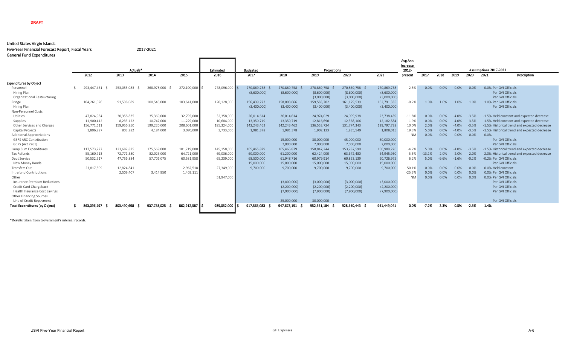#### **DRAFT**

#### United States Virgin Islands

Five-Year Financial Forecast Report, Fiscal Years 2017-2021 General Fund Expenditures

|                                       |                          |             |             |             |                   |                         |                |             |                |             | Avg Ann           |          |         |         |         |                                              |
|---------------------------------------|--------------------------|-------------|-------------|-------------|-------------------|-------------------------|----------------|-------------|----------------|-------------|-------------------|----------|---------|---------|---------|----------------------------------------------|
|                                       |                          | Actuals*    |             |             |                   |                         |                | Projections |                |             | Increase<br>2012- |          |         |         |         | Assumptions 2017-2021                        |
|                                       | 2012                     | 2013        | 2014        | 2015        | Estimated<br>2016 | <b>Budgeted</b><br>2017 | 2018           | 2019        | 2020           | 2021        | present           | 2017     | 2018    | 2019    | 2020    | 2021<br>Description                          |
|                                       |                          |             |             |             |                   |                         |                |             |                |             |                   |          |         |         |         |                                              |
| Expenditures by Object                |                          |             |             |             |                   |                         |                |             |                |             |                   |          |         |         |         |                                              |
| Personnel                             | 293.447.461              | 253,055,083 | 268,978,000 | 272,190,000 | 278,096,000       | 270,869,758             | 270,869,758 \$ | 270,869,758 | 270,869,758 \$ | 270,869,758 | $-2.5%$           | $0.0\%$  | $0.0\%$ | $0.0\%$ | $0.0\%$ | 0.0% Per GVI Officials                       |
| Hiring Plan                           |                          |             |             |             |                   | (8,600,000)             | (8,600,000)    | (8,600,000) | (8,600,000)    | (8,600,000) |                   |          |         |         |         | Per GVI Officials                            |
| Organizational Restructuring          |                          |             |             |             |                   |                         |                | (3,000,000) | (3,000,000)    | (3,000,000) |                   |          |         |         |         | Per GVI Officials                            |
| Fringe                                | 104,261,026              | 91,538,089  | 100,545,000 | 103,641,000 | 120,128,000       | 156,439,273             | 158,003,666    | 159,583,702 | 161,179,539    | 162,791,335 | $-0.2%$           | 1.0%     | 1.0%    | 1.0%    | 1.0%    | 1.0% Per GVI Officials                       |
| Hiring Plan                           |                          |             |             |             |                   | (3,400,000)             | (3,400,000)    | (3,400,000) | (3,400,000)    | (3,400,000) |                   |          |         |         |         | Per GVI Officials                            |
| Non-Personnel Costs                   |                          |             |             |             |                   |                         |                |             |                |             |                   |          |         |         |         |                                              |
| Utilities                             | 47,824,984               | 30,358,835  | 35,369,000  | 32,795,000  | 32,358,000        | 26,014,614              | 26,014,614     | 24,974,029  | 24,099,938     | 23,738,439  | $-11.8%$          | 0.0%     | $0.0\%$ | $-4.0%$ | $-3.5%$ | -1.5% Held constant and expected decrease    |
| Supplies                              | 11,900,412               | 8,233,122   | 10,747,000  | 11,229,000  | 10,684,000        | 13,350,719              | 13,350,719     | 12,816,690  | 12,368,106     | 12,182,584  | $-1.9%$           | 0.0%     | 0.0%    | $-4.0%$ | $-3.5%$ | -1.5% Held constant and expected decrease    |
| Other Services and Charges            | 156,771,611              | 159,956,950 | 199,220,000 | 208,601,000 | 185,324,000       | 142.243.462             | 142,243,462    | 136,553,724 | 131,774,343    | 129,797,728 | 10.0%             | 2.0%     | 0.0%    | $-4.0%$ | $-3.5%$ | -1.5% Historical trend and expected decrease |
| Capital Projects                      | 1,806,887                | 803,282     | 4,184,000   | 3,070,000   | 3,733,000         | 1,981,378               | 1,981,378      | 1,902,123   | 1,835,549      | 1,808,015   | 19.3%             | 5.0%     | 0.0%    | $-4.0%$ | $-3.5%$ | -1.5% Historical trend and expected decrease |
| <b>Additional Appropriations</b>      | $\overline{\phantom{a}}$ | $\sim$      |             |             |                   |                         |                |             |                |             | <b>NM</b>         | 0.0%     | $0.0\%$ | 0.0%    | $0.0\%$ | $0.0\%$                                      |
| <b>GERS ARC Contribution</b>          |                          |             |             |             |                   |                         | 15,000,000     | 30,000,000  | 45,000,000     | 60,000,000  |                   |          |         |         |         | Per GVI Officials                            |
| GERS (Act 7261)                       |                          |             |             |             |                   |                         | 7,000,000      | 7,000,000   | 7,000,000      | 7,000,000   |                   |          |         |         |         | Per GVI Officials                            |
| Lump Sum Expenditures                 | 117,573,277              | 123,682,825 | 175,569,000 | 101,719,000 | 145,158,000       | 165,465,879             | 165,465,879    | 158,847,244 | 153,287,590    | 150,988,276 | $-4.7%$           | 5.0%     | $0.0\%$ | $-4.0%$ | $-3.5%$ | -1.5% Historical trend and expected decrease |
| Tax Refunds                           | 55,160,713               | 72,771,380  | 82,025,000  | 64,721,000  | 69,036,000        | 60,000,000              | 61,200,000     | 62,424,000  | 63,672,480     | 64,945,930  | 5.5%              | $-13.1%$ | 2.0%    | 2.0%    | 2.0%    | 2.0% Historical trend and expected decrease  |
| Debt Service                          | 50,532,517               | 47,756,884  | 57,706,075  | 60,581,958  | 65,239,000        | 68,500,000              | 61,948,716     | 60,979,914  | 60,853,139     | 60,726,975  | 6.2%              | 5.0%     | $-9.6%$ | $-1.6%$ | $-0.2%$ | -0.2% Per GVI Officials                      |
| New Money Bonds                       |                          |             |             |             |                   | 15,000,000              | 15,000,000     | 15,000,000  | 15,000,000     | 15,000,000  |                   |          |         |         |         | Per GVI Officials                            |
| Transfers Out                         | 23,817,309               | 12,824,841  |             | 2,962,518   | 27,349,000        | 9,700,000               | 9,700,000      | 9,700,000   | 9,700,000      | 9,700,000   | $-50.1%$          | 0.0%     | 0.0%    | 0.0%    | 0.0%    | 0.0% Held constant                           |
| Intrafund Contributions               |                          | 2,509,407   | 3,414,950   | 1,402,111   |                   |                         |                |             |                |             | $-25.3%$          | 0.0%     | 0.0%    | 0.0%    | 0.0%    | 0.0% Per GVI Officials                       |
| Other                                 |                          |             |             |             | 51,947,000        |                         |                |             |                |             | <b>NM</b>         | 0.0%     | 0.0%    | 0.0%    | 0.0%    | 0.0% Per GVI Officials                       |
| Insurance Premium Reductions          |                          |             |             |             |                   |                         | (3,000,000)    | (3,000,000) | (3,000,000)    | (3,000,000) |                   |          |         |         |         | Per GVI Officials                            |
| Credit Card Chargeback                |                          |             |             |             |                   |                         | (2,200,000)    | (2,200,000) | (2,200,000)    | (2,200,000) |                   |          |         |         |         | Per GVI Officials                            |
| Health Insurance Cost Savings         |                          |             |             |             |                   |                         | (7,900,000)    | (7,900,000) | (7,900,000)    | (7,900,000) |                   |          |         |         |         | Per GVI Officials                            |
| Other Financing Sources               |                          |             |             |             |                   |                         |                |             |                |             |                   |          |         |         |         |                                              |
| Line of Credit Repayment              |                          |             |             |             |                   |                         | 25,000,000     | 30,000,000  |                |             |                   |          |         |         |         | Per GVI Officials                            |
| <b>Total Expenditures (by Obiect)</b> | 863.096.197              | 803,490,698 | 937,758,025 | 862,912,587 | 989.052.000       | 917.565.083             | 947.678.191    | 952,551,184 | 928.540.443    | 941,449,041 | 0.0%              | $-7.2%$  | 3.3%    | 0.5%    | $-2.5%$ | 1.4%                                         |
|                                       |                          |             |             |             |                   |                         |                |             |                |             |                   |          |         |         |         |                                              |

\*Results taken from Government's internal records.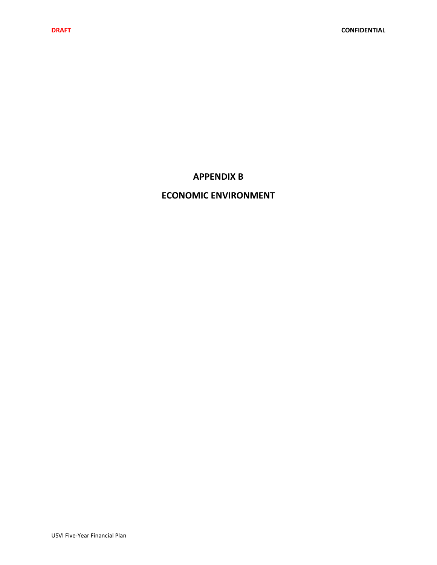## **APPENDIX B**

## **ECONOMIC ENVIRONMENT**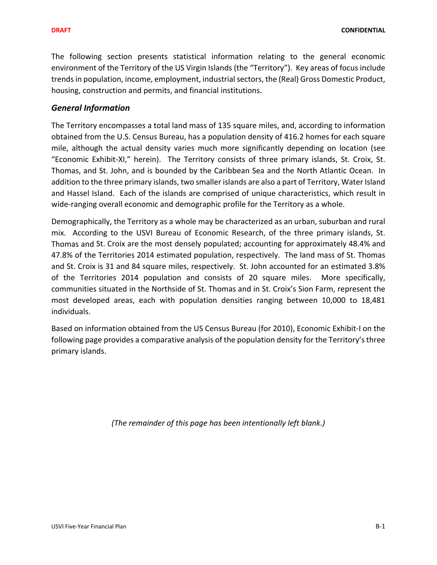The following section presents statistical information relating to the general economic environment of the Territory of the US Virgin Islands (the "Territory"). Key areas of focus include trends in population, income, employment, industrial sectors, the (Real) Gross Domestic Product, housing, construction and permits, and financial institutions.

### *General Information*

The Territory encompasses a total land mass of 135 square miles, and, according to information obtained from the U.S. Census Bureau, has a population density of 416.2 homes for each square mile, although the actual density varies much more significantly depending on location (see "Economic Exhibit‐XI," herein). The Territory consists of three primary islands, St. Croix, St. Thomas, and St. John, and is bounded by the Caribbean Sea and the North Atlantic Ocean. In addition to the three primary islands, two smaller islands are also a part of Territory, Water Island and Hassel Island. Each of the islands are comprised of unique characteristics, which result in wide-ranging overall economic and demographic profile for the Territory as a whole.

Demographically, the Territory as a whole may be characterized as an urban, suburban and rural mix. According to the USVI Bureau of Economic Research, of the three primary islands, St. Thomas and St. Croix are the most densely populated; accounting for approximately 48.4% and 47.8% of the Territories 2014 estimated population, respectively. The land mass of St. Thomas and St. Croix is 31 and 84 square miles, respectively. St. John accounted for an estimated 3.8% of the Territories 2014 population and consists of 20 square miles. More specifically, communities situated in the Northside of St. Thomas and in St. Croix's Sion Farm, represent the most developed areas, each with population densities ranging between 10,000 to 18,481 individuals.

Based on information obtained from the US Census Bureau (for 2010), Economic Exhibit‐I on the following page provides a comparative analysis of the population density for the Territory's three primary islands.

*(The remainder of this page has been intentionally left blank.)*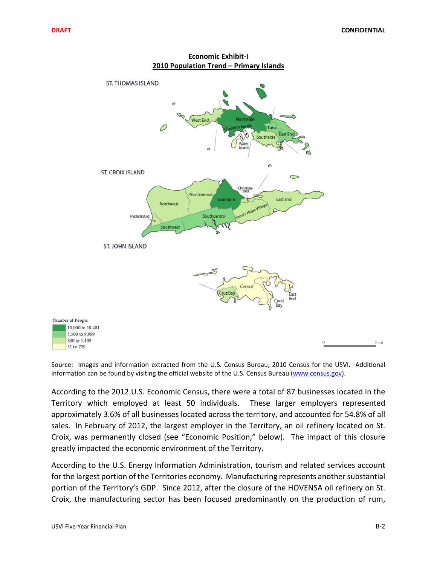

**Economic Exhibit‐I 2010 Population Trend – Primary Islands**

Source: Images and information extracted from the U.S. Census Bureau, 2010 Census for the USVI. Additional information can be found by visiting the official website of the U.S. Census Bureau (www.census.gov).

According to the 2012 U.S. Economic Census, there were a total of 87 businesses located in the Territory which employed at least 50 individuals. These larger employers represented approximately 3.6% of all businesses located across the territory, and accounted for 54.8% of all sales. In February of 2012, the largest employer in the Territory, an oil refinery located on St. Croix, was permanently closed (see "Economic Position," below). The impact of this closure greatly impacted the economic environment of the Territory.

According to the U.S. Energy Information Administration, tourism and related services account for the largest portion of the Territories economy. Manufacturing represents another substantial portion of the Territory's GDP. Since 2012, after the closure of the HOVENSA oil refinery on St. Croix, the manufacturing sector has been focused predominantly on the production of rum,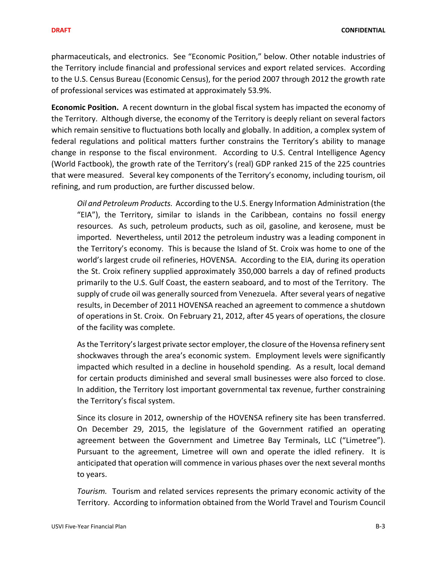**DRAFT CONFIDENTIAL**

pharmaceuticals, and electronics. See "Economic Position," below. Other notable industries of the Territory include financial and professional services and export related services. According to the U.S. Census Bureau (Economic Census), for the period 2007 through 2012 the growth rate of professional services was estimated at approximately 53.9%.

**Economic Position.** A recent downturn in the global fiscal system has impacted the economy of the Territory. Although diverse, the economy of the Territory is deeply reliant on several factors which remain sensitive to fluctuations both locally and globally. In addition, a complex system of federal regulations and political matters further constrains the Territory's ability to manage change in response to the fiscal environment. According to U.S. Central Intelligence Agency (World Factbook), the growth rate of the Territory's (real) GDP ranked 215 of the 225 countries that were measured. Several key components of the Territory's economy, including tourism, oil refining, and rum production, are further discussed below.

*Oil and Petroleum Products.* According to the U.S. Energy Information Administration (the "EIA"), the Territory, similar to islands in the Caribbean, contains no fossil energy resources. As such, petroleum products, such as oil, gasoline, and kerosene, must be imported. Nevertheless, until 2012 the petroleum industry was a leading component in the Territory's economy. This is because the Island of St. Croix was home to one of the world's largest crude oil refineries, HOVENSA. According to the EIA, during its operation the St. Croix refinery supplied approximately 350,000 barrels a day of refined products primarily to the U.S. Gulf Coast, the eastern seaboard, and to most of the Territory. The supply of crude oil was generally sourced from Venezuela. After several years of negative results, in December of 2011 HOVENSA reached an agreement to commence a shutdown of operations in St. Croix. On February 21, 2012, after 45 years of operations, the closure of the facility was complete.

Asthe Territory'slargest private sector employer, the closure of the Hovensa refinery sent shockwaves through the area's economic system. Employment levels were significantly impacted which resulted in a decline in household spending. As a result, local demand for certain products diminished and several small businesses were also forced to close. In addition, the Territory lost important governmental tax revenue, further constraining the Territory's fiscal system.

Since its closure in 2012, ownership of the HOVENSA refinery site has been transferred. On December 29, 2015, the legislature of the Government ratified an operating agreement between the Government and Limetree Bay Terminals, LLC ("Limetree"). Pursuant to the agreement, Limetree will own and operate the idled refinery. It is anticipated that operation will commence in various phases over the next several months to years.

*Tourism.* Tourism and related services represents the primary economic activity of the Territory. According to information obtained from the World Travel and Tourism Council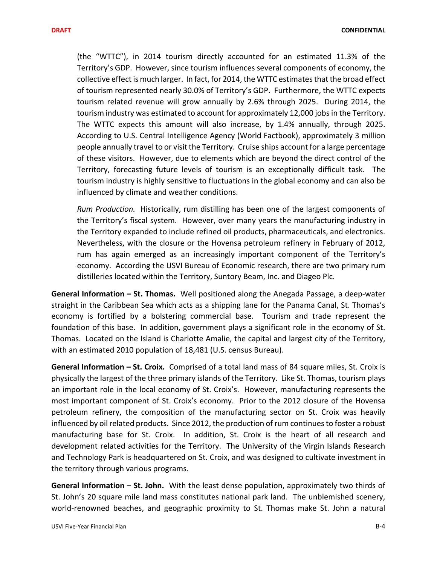(the "WTTC"), in 2014 tourism directly accounted for an estimated 11.3% of the Territory's GDP. However, since tourism influences several components of economy, the collective effect is much larger. In fact, for 2014, the WTTC estimates that the broad effect of tourism represented nearly 30.0% of Territory's GDP. Furthermore, the WTTC expects tourism related revenue will grow annually by 2.6% through 2025. During 2014, the tourism industry was estimated to account for approximately 12,000 jobs in the Territory. The WTTC expects this amount will also increase, by 1.4% annually, through 2025. According to U.S. Central Intelligence Agency (World Factbook), approximately 3 million people annually travel to or visit the Territory. Cruise ships account for a large percentage of these visitors. However, due to elements which are beyond the direct control of the Territory, forecasting future levels of tourism is an exceptionally difficult task. The tourism industry is highly sensitive to fluctuations in the global economy and can also be influenced by climate and weather conditions.

*Rum Production.* Historically, rum distilling has been one of the largest components of the Territory's fiscal system. However, over many years the manufacturing industry in the Territory expanded to include refined oil products, pharmaceuticals, and electronics. Nevertheless, with the closure or the Hovensa petroleum refinery in February of 2012, rum has again emerged as an increasingly important component of the Territory's economy. According the USVI Bureau of Economic research, there are two primary rum distilleries located within the Territory, Suntory Beam, Inc. and Diageo Plc.

**General Information – St. Thomas.** Well positioned along the Anegada Passage, a deep‐water straight in the Caribbean Sea which acts as a shipping lane for the Panama Canal, St. Thomas's economy is fortified by a bolstering commercial base. Tourism and trade represent the foundation of this base. In addition, government plays a significant role in the economy of St. Thomas. Located on the Island is Charlotte Amalie, the capital and largest city of the Territory, with an estimated 2010 population of 18,481 (U.S. census Bureau).

**General Information – St. Croix.** Comprised of a total land mass of 84 square miles, St. Croix is physically the largest of the three primary islands of the Territory. Like St. Thomas, tourism plays an important role in the local economy of St. Croix's. However, manufacturing represents the most important component of St. Croix's economy. Prior to the 2012 closure of the Hovensa petroleum refinery, the composition of the manufacturing sector on St. Croix was heavily influenced by oil related products. Since 2012, the production of rum continues to foster a robust manufacturing base for St. Croix. In addition, St. Croix is the heart of all research and development related activities for the Territory. The University of the Virgin Islands Research and Technology Park is headquartered on St. Croix, and was designed to cultivate investment in the territory through various programs.

**General Information – St. John.** With the least dense population, approximately two thirds of St. John's 20 square mile land mass constitutes national park land. The unblemished scenery, world-renowned beaches, and geographic proximity to St. Thomas make St. John a natural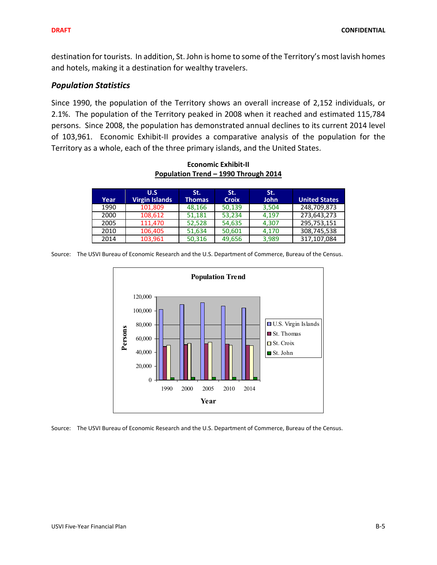destination for tourists. In addition, St. John is home to some of the Territory's most lavish homes and hotels, making it a destination for wealthy travelers.

### *Population Statistics*

Since 1990, the population of the Territory shows an overall increase of 2,152 individuals, or 2.1%. The population of the Territory peaked in 2008 when it reached and estimated 115,784 persons. Since 2008, the population has demonstrated annual declines to its current 2014 level of 103,961. Economic Exhibit-II provides a comparative analysis of the population for the Territory as a whole, each of the three primary islands, and the United States.

**Economic Exhibit‐II Population Trend – 1990 Through 2014**

| Year | U.S<br><b>Virgin Islands</b> | St.<br>Thomas | St.<br><b>Croix</b> | St.<br><b>John</b> | <b>United States</b> |
|------|------------------------------|---------------|---------------------|--------------------|----------------------|
| 1990 | 101,809                      | 48,166        | 50,139              | 3,504              | 248,709,873          |
| 2000 | 108,612                      | 51,181        | 53,234              | 4.197              | 273,643,273          |
| 2005 | 111.470                      | 52,528        | 54,635              | 4.307              | 295,753,151          |
| 2010 | 106,405                      | 51,634        | 50,601              | 4.170              | 308,745,538          |
| 2014 | 103,961                      | 50,316        | 49,656              | 3.989              | 317,107,084          |

Source: The USVI Bureau of Economic Research and the U.S. Department of Commerce, Bureau of the Census.



Source: The USVI Bureau of Economic Research and the U.S. Department of Commerce, Bureau of the Census.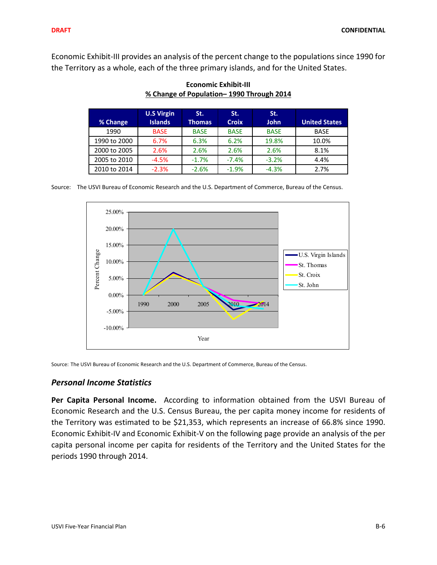Economic Exhibit‐III provides an analysis of the percent change to the populations since 1990 for the Territory as a whole, each of the three primary islands, and for the United States.

| % Change     | <b>U.S Virgin</b><br><b>Islands</b> | St.<br>Thomas. | St.<br><b>Croix</b> | St.<br><b>John</b> | <b>United States</b> |
|--------------|-------------------------------------|----------------|---------------------|--------------------|----------------------|
| 1990         | <b>BASE</b>                         | <b>BASE</b>    | <b>BASE</b>         | <b>BASE</b>        | <b>BASE</b>          |
| 1990 to 2000 | 6.7%                                | 6.3%           | 6.2%                | 19.8%              | 10.0%                |
| 2000 to 2005 | 2.6%                                | 2.6%           | 2.6%                | 2.6%               | 8.1%                 |
| 2005 to 2010 | $-4.5%$                             | $-1.7%$        | $-7.4%$             | $-3.2%$            | 4.4%                 |
| 2010 to 2014 | $-2.3%$                             | $-2.6%$        | $-1.9%$             | $-4.3%$            | 2.7%                 |

**Economic Exhibit‐III % Change of Population– 1990 Through 2014**

Source: The USVI Bureau of Economic Research and the U.S. Department of Commerce, Bureau of the Census.



Source: The USVI Bureau of Economic Research and the U.S. Department of Commerce, Bureau of the Census.

### *Personal Income Statistics*

**Per Capita Personal Income.** According to information obtained from the USVI Bureau of Economic Research and the U.S. Census Bureau, the per capita money income for residents of the Territory was estimated to be \$21,353, which represents an increase of 66.8% since 1990. Economic Exhibit‐IV and Economic Exhibit‐V on the following page provide an analysis of the per capita personal income per capita for residents of the Territory and the United States for the periods 1990 through 2014.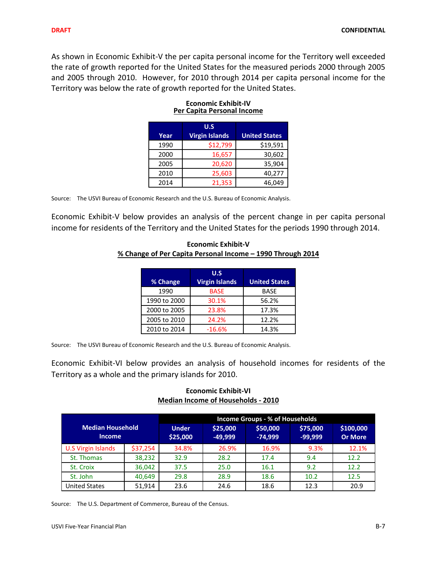As shown in Economic Exhibit‐V the per capita personal income for the Territory well exceeded the rate of growth reported for the United States for the measured periods 2000 through 2005 and 2005 through 2010. However, for 2010 through 2014 per capita personal income for the Territory was below the rate of growth reported for the United States.

| Year | U.S<br><b>Virgin Islands</b> | <b>United States</b> |
|------|------------------------------|----------------------|
| 1990 | \$12,799                     | \$19,591             |
| 2000 | 16,657                       | 30,602               |
| 2005 | 20,620                       | 35,904               |
| 2010 | 25,603                       | 40,277               |
| 2014 | 21,353                       | 46.049               |

#### **Economic Exhibit‐IV Per Capita Personal Income**

Source: The USVI Bureau of Economic Research and the U.S. Bureau of Economic Analysis.

Economic Exhibit‐V below provides an analysis of the percent change in per capita personal income for residents of the Territory and the United States for the periods 1990 through 2014.

# **Economic Exhibit‐V % Change of Per Capita Personal Income – 1990 Through 2014**

|              | U.S                   |                      |
|--------------|-----------------------|----------------------|
| % Change     | <b>Virgin Islands</b> | <b>United States</b> |
| 1990         | <b>BASE</b>           | <b>BASE</b>          |
| 1990 to 2000 | 30.1%                 | 56.2%                |
| 2000 to 2005 | 23.8%                 | 17.3%                |
| 2005 to 2010 | 24.2%                 | 12.2%                |
| 2010 to 2014 | $-16.6%$              | 14.3%                |

Source: The USVI Bureau of Economic Research and the U.S. Bureau of Economic Analysis.

Economic Exhibit‐VI below provides an analysis of household incomes for residents of the Territory as a whole and the primary islands for 2010.

### **Economic Exhibit‐VI Median Income of Households ‐ 2010**

|                                          |          | <b>Income Groups - % of Households</b> |                       |                       |                       |                             |  |  |  |
|------------------------------------------|----------|----------------------------------------|-----------------------|-----------------------|-----------------------|-----------------------------|--|--|--|
| <b>Median Household</b><br><b>Income</b> |          | <b>Under</b><br>\$25,000               | \$25,000<br>$-49.999$ | \$50,000<br>$-74,999$ | \$75,000<br>$-99,999$ | \$100,000<br><b>Or More</b> |  |  |  |
| <b>U.S Virgin Islands</b>                | \$37,254 | 34.8%                                  | 26.9%                 | 16.9%                 | 9.3%                  | 12.1%                       |  |  |  |
| St. Thomas                               | 38,232   | 32.9                                   | 28.2                  | 17.4                  | 9.4                   | 12.2                        |  |  |  |
| St. Croix                                | 36,042   | 37.5                                   | 25.0                  | 16.1                  | 9.2                   | 12.2                        |  |  |  |
| St. John                                 | 40,649   | 29.8                                   | 28.9                  | 18.6                  | 10.2                  | 12.5                        |  |  |  |
| <b>United States</b>                     | 51.914   | 23.6                                   | 24.6                  | 18.6                  | 12.3                  | 20.9                        |  |  |  |

Source: The U.S. Department of Commerce, Bureau of the Census.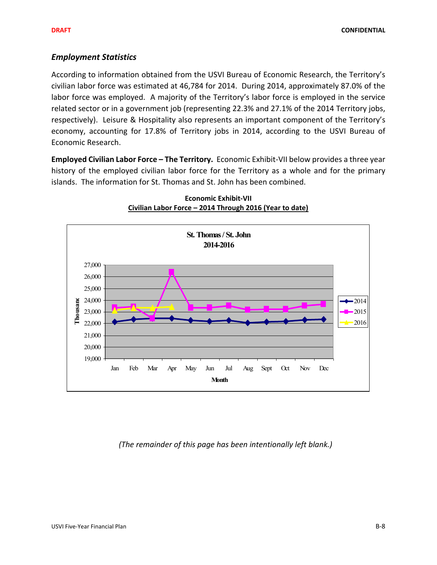### *Employment Statistics*

According to information obtained from the USVI Bureau of Economic Research, the Territory's civilian labor force was estimated at 46,784 for 2014. During 2014, approximately 87.0% of the labor force was employed. A majority of the Territory's labor force is employed in the service related sector or in a government job (representing 22.3% and 27.1% of the 2014 Territory jobs, respectively). Leisure & Hospitality also represents an important component of the Territory's economy, accounting for 17.8% of Territory jobs in 2014, according to the USVI Bureau of Economic Research.

**Employed Civilian Labor Force – The Territory.** Economic Exhibit‐VII below provides a three year history of the employed civilian labor force for the Territory as a whole and for the primary islands. The information for St. Thomas and St. John has been combined.



**Economic Exhibit‐VII Civilian Labor Force – 2014 Through 2016 (Year to date)**

*(The remainder of this page has been intentionally left blank.)*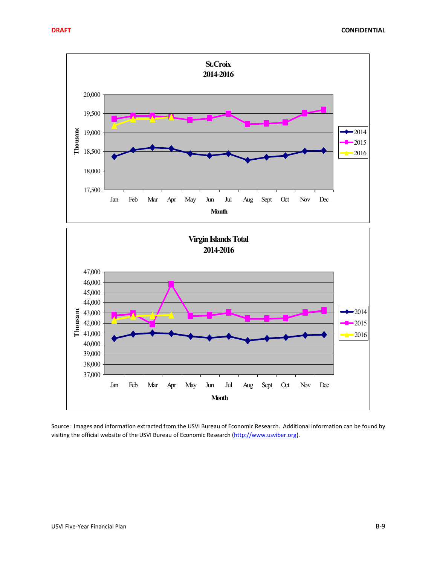

Source: Images and information extracted from the USVI Bureau of Economic Research. Additional information can be found by visiting the official website of the USVI Bureau of Economic Research (http://www.usviber.org).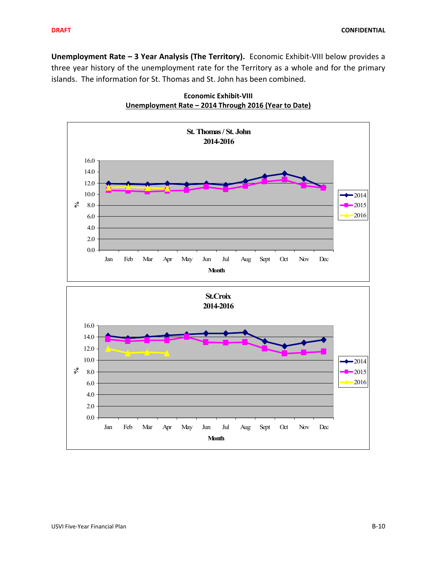**Unemployment Rate – 3 Year Analysis (The Territory).** Economic Exhibit‐VIII below provides a three year history of the unemployment rate for the Territory as a whole and for the primary islands. The information for St. Thomas and St. John has been combined.



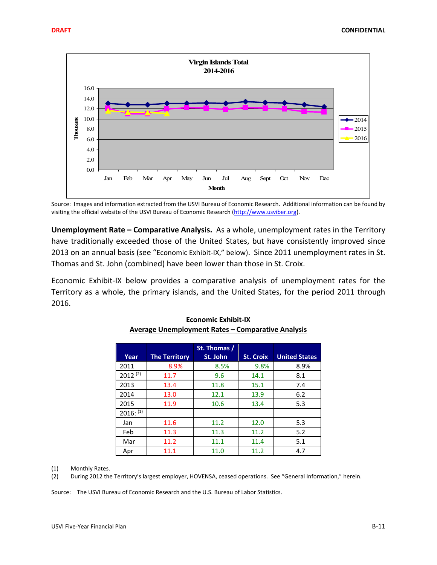

Source: Images and information extracted from the USVI Bureau of Economic Research. Additional information can be found by visiting the official website of the USVI Bureau of Economic Research (http://www.usviber.org).

**Unemployment Rate – Comparative Analysis.** As a whole, unemployment rates in the Territory have traditionally exceeded those of the United States, but have consistently improved since 2013 on an annual basis (see "Economic Exhibit-IX," below). Since 2011 unemployment rates in St. Thomas and St. John (combined) have been lower than those in St. Croix.

Economic Exhibit‐IX below provides a comparative analysis of unemployment rates for the Territory as a whole, the primary islands, and the United States, for the period 2011 through 2016.

| Year         | <b>The Territory</b> | St. Thomas /<br>St. John | <b>St. Croix</b> | <b>United States</b> |
|--------------|----------------------|--------------------------|------------------|----------------------|
| 2011         | 8.9%                 | 8.5%                     | 9.8%             | 8.9%                 |
| $2012^{(2)}$ | 11.7                 | 9.6                      | 14.1             | 8.1                  |
| 2013         | 13.4                 | 11.8                     | 15.1             | 7.4                  |
| 2014         | 13.0                 | 12.1                     | 13.9             | 6.2                  |
| 2015         | 11.9                 | 10.6                     | 13.4             | 5.3                  |
| $2016:$ (1)  |                      |                          |                  |                      |
| Jan          | 11.6                 | 11.2                     | 12.0             | 5.3                  |
| Feb          | 11.3                 | 11.3                     | 11.2             | 5.2                  |
| Mar          | 11.2                 | 11.1                     | 11.4             | 5.1                  |
| Apr          | 11.1                 | 11.0                     | 11.2             | 4.7                  |

#### **Economic Exhibit‐IX Average Unemployment Rates – Comparative Analysis**

(1) Monthly Rates.

(2) During 2012 the Territory's largest employer, HOVENSA, ceased operations. See "General Information," herein.

Source: The USVI Bureau of Economic Research and the U.S. Bureau of Labor Statistics.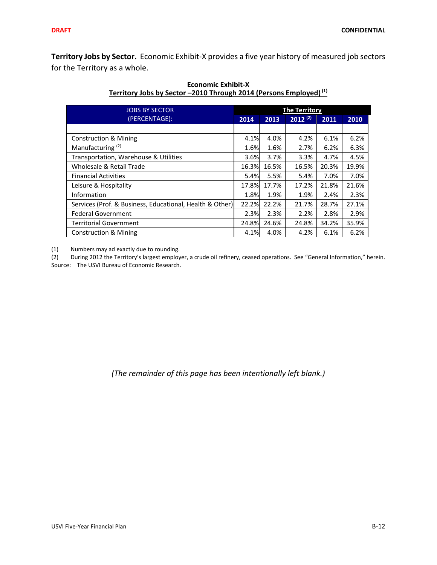**Territory Jobs by Sector.** Economic Exhibit‐X provides a five year history of measured job sectors for the Territory as a whole.

| <b>JOBS BY SECTOR</b>                                    | <b>The Territory</b> |       |              |       |       |  |  |
|----------------------------------------------------------|----------------------|-------|--------------|-------|-------|--|--|
| (PERCENTAGE):                                            | 2014                 | 2013  | $2012^{(2)}$ | 2011  | 2010  |  |  |
|                                                          |                      |       |              |       |       |  |  |
| <b>Construction &amp; Mining</b>                         | 4.1%                 | 4.0%  | 4.2%         | 6.1%  | 6.2%  |  |  |
| Manufacturing <sup>(2)</sup>                             | 1.6%                 | 1.6%  | 2.7%         | 6.2%  | 6.3%  |  |  |
| Transportation, Warehouse & Utilities                    | 3.6%                 | 3.7%  | 3.3%         | 4.7%  | 4.5%  |  |  |
| Wholesale & Retail Trade                                 | 16.3%                | 16.5% | 16.5%        | 20.3% | 19.9% |  |  |
| <b>Financial Activities</b>                              | 5.4%                 | 5.5%  | 5.4%         | 7.0%  | 7.0%  |  |  |
| Leisure & Hospitality                                    | 17.8%                | 17.7% | 17.2%        | 21.8% | 21.6% |  |  |
| Information                                              | 1.8%                 | 1.9%  | 1.9%         | 2.4%  | 2.3%  |  |  |
| Services (Prof. & Business, Educational, Health & Other) | 22.2%                | 22.2% | 21.7%        | 28.7% | 27.1% |  |  |
| <b>Federal Government</b>                                | 2.3%                 | 2.3%  | 2.2%         | 2.8%  | 2.9%  |  |  |
| <b>Territorial Government</b>                            | 24.8%                | 24.6% | 24.8%        | 34.2% | 35.9% |  |  |
| Construction & Mining                                    | 4.1%                 | 4.0%  | 4.2%         | 6.1%  | 6.2%  |  |  |

**Economic Exhibit‐X Territory Jobs by Sector –2010 Through 2014 (Persons Employed)(1)**

(1) Numbers may ad exactly due to rounding.

(2) During 2012 the Territory's largest employer, a crude oil refinery, ceased operations. See "General Information," herein. Source: The USVI Bureau of Economic Research.

*(The remainder of this page has been intentionally left blank.)*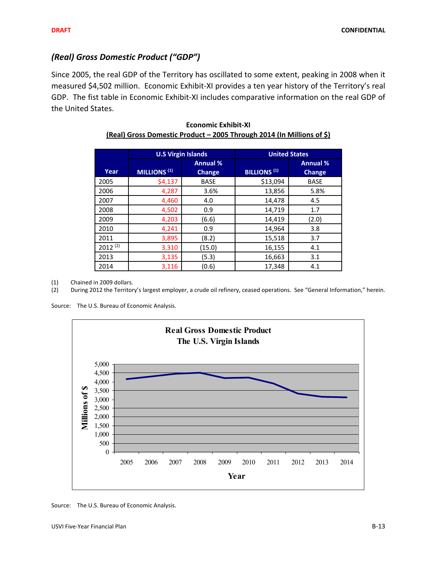## *(Real) Gross Domestic Product ("GDP")*

Since 2005, the real GDP of the Territory has oscillated to some extent, peaking in 2008 when it measured \$4,502 million. Economic Exhibit‐XI provides a ten year history of the Territory's real GDP. The fist table in Economic Exhibit‐XI includes comparative information on the real GDP of the United States.

|              | <b>U.S Virgin Islands</b> |                                  | <b>United States</b> |                                  |  |  |
|--------------|---------------------------|----------------------------------|----------------------|----------------------------------|--|--|
| Year         | MILLIONS <sup>(1)</sup>   | <b>Annual %</b><br><b>Change</b> | <b>BILLIONS (1)</b>  | <b>Annual %</b><br><b>Change</b> |  |  |
| 2005         | \$4,137                   | <b>BASE</b>                      | \$13,094             | <b>BASE</b>                      |  |  |
| 2006         | 4,287                     | 3.6%                             | 13,856               | 5.8%                             |  |  |
| 2007         | 4,460                     | 4.0                              | 14,478               | 4.5                              |  |  |
| 2008         | 4,502                     | 0.9                              | 14,719               | 1.7                              |  |  |
| 2009         | 4,203                     | (6.6)                            | 14,419               | (2.0)                            |  |  |
| 2010         | 4,241                     | 0.9                              | 14,964               | 3.8                              |  |  |
| 2011         | 3,895                     | (8.2)                            | 15,518               | 3.7                              |  |  |
| $2012^{(2)}$ | 3,310                     | (15.0)                           | 16,155               | 4.1                              |  |  |
| 2013         | 3,135                     | (5.3)                            | 16,663               | 3.1                              |  |  |
| 2014         | 3,116                     | (0.6)                            | 17,348               | 4.1                              |  |  |

| <b>Economic Exhibit-XI</b>                                            |
|-----------------------------------------------------------------------|
| (Real) Gross Domestic Product - 2005 Through 2014 (In Millions of \$) |

(1) Chained in 2009 dollars.

(2) During 2012 the Territory's largest employer, a crude oil refinery, ceased operations. See "General Information," herein.

Source: The U.S. Bureau of Economic Analysis.



Source: The U.S. Bureau of Economic Analysis.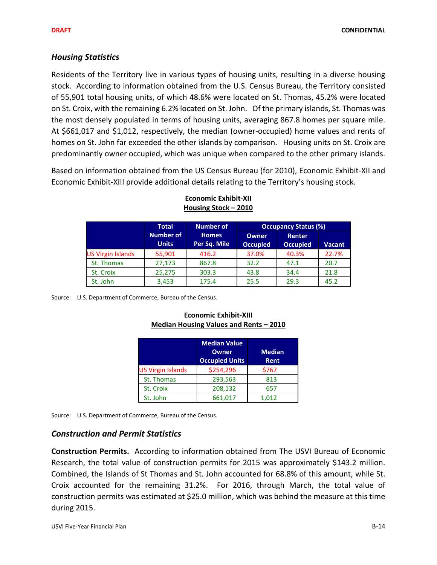### *Housing Statistics*

Residents of the Territory live in various types of housing units, resulting in a diverse housing stock. According to information obtained from the U.S. Census Bureau, the Territory consisted of 55,901 total housing units, of which 48.6% were located on St. Thomas, 45.2% were located on St. Croix, with the remaining 6.2% located on St. John. Of the primary islands, St. Thomas was the most densely populated in terms of housing units, averaging 867.8 homes per square mile. At \$661,017 and \$1,012, respectively, the median (owner‐occupied) home values and rents of homes on St. John far exceeded the other islands by comparison. Housing units on St. Croix are predominantly owner occupied, which was unique when compared to the other primary islands.

Based on information obtained from the US Census Bureau (for 2010), Economic Exhibit‐XII and Economic Exhibit‐XIII provide additional details relating to the Territory's housing stock.

|                          | <b>Total</b>                     | <b>Number of</b>             |                                 | <b>Occupancy Status (%)</b>      |               |  |  |  |
|--------------------------|----------------------------------|------------------------------|---------------------------------|----------------------------------|---------------|--|--|--|
|                          | <b>Number of</b><br><b>Units</b> | <b>Homes</b><br>Per Sq. Mile | <b>Owner</b><br><b>Occupied</b> | <b>Renter</b><br><b>Occupied</b> | <b>Vacant</b> |  |  |  |
| <b>US Virgin Islands</b> | 55,901                           | 416.2                        | 37.0%                           | 40.3%                            | 22.7%         |  |  |  |
| St. Thomas               | 27,173                           | 867.8                        | 32.2                            | 47.1                             | 20.7          |  |  |  |
| St. Croix                | 25,275                           | 303.3                        | 43.8                            | 34.4                             | 21.8          |  |  |  |
| St. John                 | 3,453                            | 175.4                        | 25.5                            | 29.3                             | 45.2          |  |  |  |

#### **Economic Exhibit‐XII Housing Stock – 2010**

Source: U.S. Department of Commerce, Bureau of the Census.

|                          | <b>Median Value</b><br>Owner<br><b>Occupied Units</b> | <b>Median</b><br>Rent |
|--------------------------|-------------------------------------------------------|-----------------------|
| <b>US Virgin Islands</b> | \$254,296                                             | \$767                 |
| St. Thomas               | 293,563                                               | 813                   |
| St. Croix                | 208,132                                               | 657                   |
| St. John                 | 661,017                                               | 1.012                 |

### **Economic Exhibit‐XIII Median Housing Values and Rents – 2010**

Source: U.S. Department of Commerce, Bureau of the Census.

### *Construction and Permit Statistics*

**Construction Permits.** According to information obtained from The USVI Bureau of Economic Research, the total value of construction permits for 2015 was approximately \$143.2 million. Combined, the Islands of St Thomas and St. John accounted for 68.8% of this amount, while St. Croix accounted for the remaining 31.2%. For 2016, through March, the total value of construction permits was estimated at \$25.0 million, which was behind the measure at this time during 2015.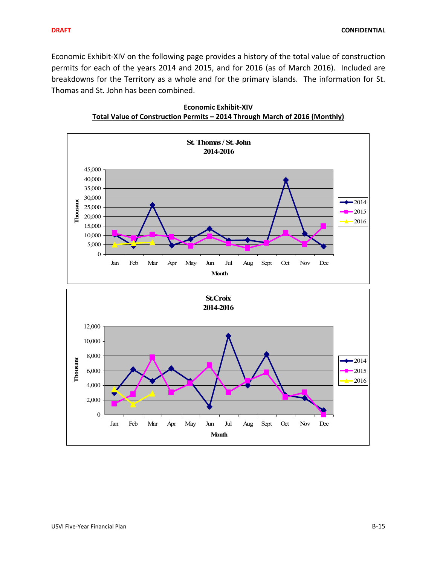Economic Exhibit-XIV on the following page provides a history of the total value of construction permits for each of the years 2014 and 2015, and for 2016 (as of March 2016). Included are breakdowns for the Territory as a whole and for the primary islands. The information for St. Thomas and St. John has been combined.



**Economic Exhibit‐XIV Total Value of Construction Permits – 2014 Through March of 2016 (Monthly)**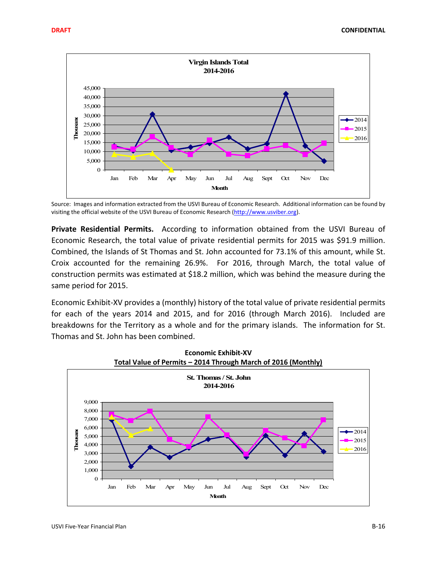

Source: Images and information extracted from the USVI Bureau of Economic Research. Additional information can be found by visiting the official website of the USVI Bureau of Economic Research (http://www.usviber.org).

**Private Residential Permits.** According to information obtained from the USVI Bureau of Economic Research, the total value of private residential permits for 2015 was \$91.9 million. Combined, the Islands of St Thomas and St. John accounted for 73.1% of this amount, while St. Croix accounted for the remaining 26.9%. For 2016, through March, the total value of construction permits was estimated at \$18.2 million, which was behind the measure during the same period for 2015.

Economic Exhibit-XV provides a (monthly) history of the total value of private residential permits for each of the years 2014 and 2015, and for 2016 (through March 2016). Included are breakdowns for the Territory as a whole and for the primary islands. The information for St. Thomas and St. John has been combined.

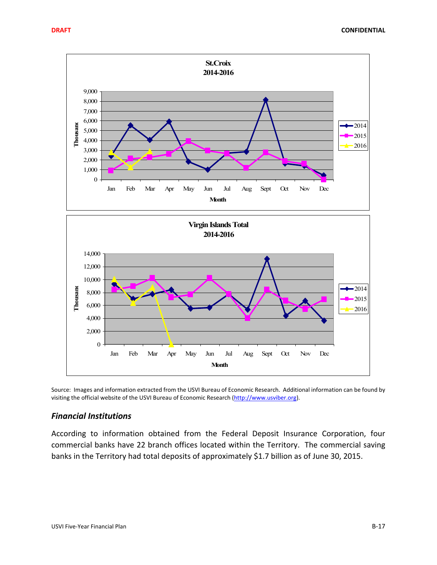

Source: Images and information extracted from the USVI Bureau of Economic Research. Additional information can be found by visiting the official website of the USVI Bureau of Economic Research (http://www.usviber.org).

### *Financial Institutions*

According to information obtained from the Federal Deposit Insurance Corporation, four commercial banks have 22 branch offices located within the Territory. The commercial saving banks in the Territory had total deposits of approximately \$1.7 billion as of June 30, 2015.